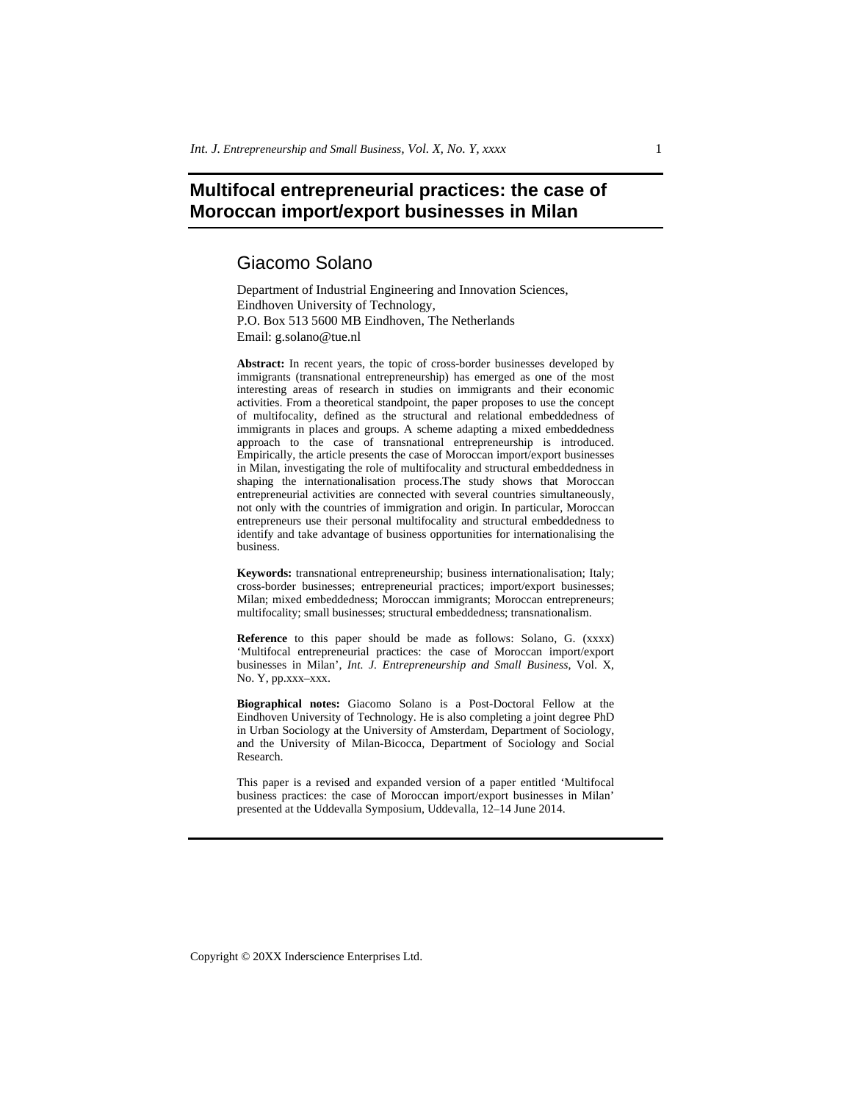# **Multifocal entrepreneurial practices: the case of Moroccan import/export businesses in Milan**

# Giacomo Solano

Department of Industrial Engineering and Innovation Sciences, Eindhoven University of Technology, P.O. Box 513 5600 MB Eindhoven, The Netherlands Email: g.solano@tue.nl

**Abstract:** In recent years, the topic of cross-border businesses developed by immigrants (transnational entrepreneurship) has emerged as one of the most interesting areas of research in studies on immigrants and their economic activities. From a theoretical standpoint, the paper proposes to use the concept of multifocality, defined as the structural and relational embeddedness of immigrants in places and groups. A scheme adapting a mixed embeddedness approach to the case of transnational entrepreneurship is introduced. Empirically, the article presents the case of Moroccan import/export businesses in Milan, investigating the role of multifocality and structural embeddedness in shaping the internationalisation process.The study shows that Moroccan entrepreneurial activities are connected with several countries simultaneously, not only with the countries of immigration and origin. In particular, Moroccan entrepreneurs use their personal multifocality and structural embeddedness to identify and take advantage of business opportunities for internationalising the business.

**Keywords:** transnational entrepreneurship; business internationalisation; Italy; cross-border businesses; entrepreneurial practices; import/export businesses; Milan; mixed embeddedness; Moroccan immigrants; Moroccan entrepreneurs; multifocality; small businesses; structural embeddedness; transnationalism.

**Reference** to this paper should be made as follows: Solano, G. (xxxx) 'Multifocal entrepreneurial practices: the case of Moroccan import/export businesses in Milan', *Int. J. Entrepreneurship and Small Business*, Vol. X, No. Y, pp.xxx–xxx.

**Biographical notes:** Giacomo Solano is a Post-Doctoral Fellow at the Eindhoven University of Technology. He is also completing a joint degree PhD in Urban Sociology at the University of Amsterdam, Department of Sociology, and the University of Milan-Bicocca, Department of Sociology and Social Research.

This paper is a revised and expanded version of a paper entitled 'Multifocal business practices: the case of Moroccan import/export businesses in Milan' presented at the Uddevalla Symposium, Uddevalla, 12–14 June 2014.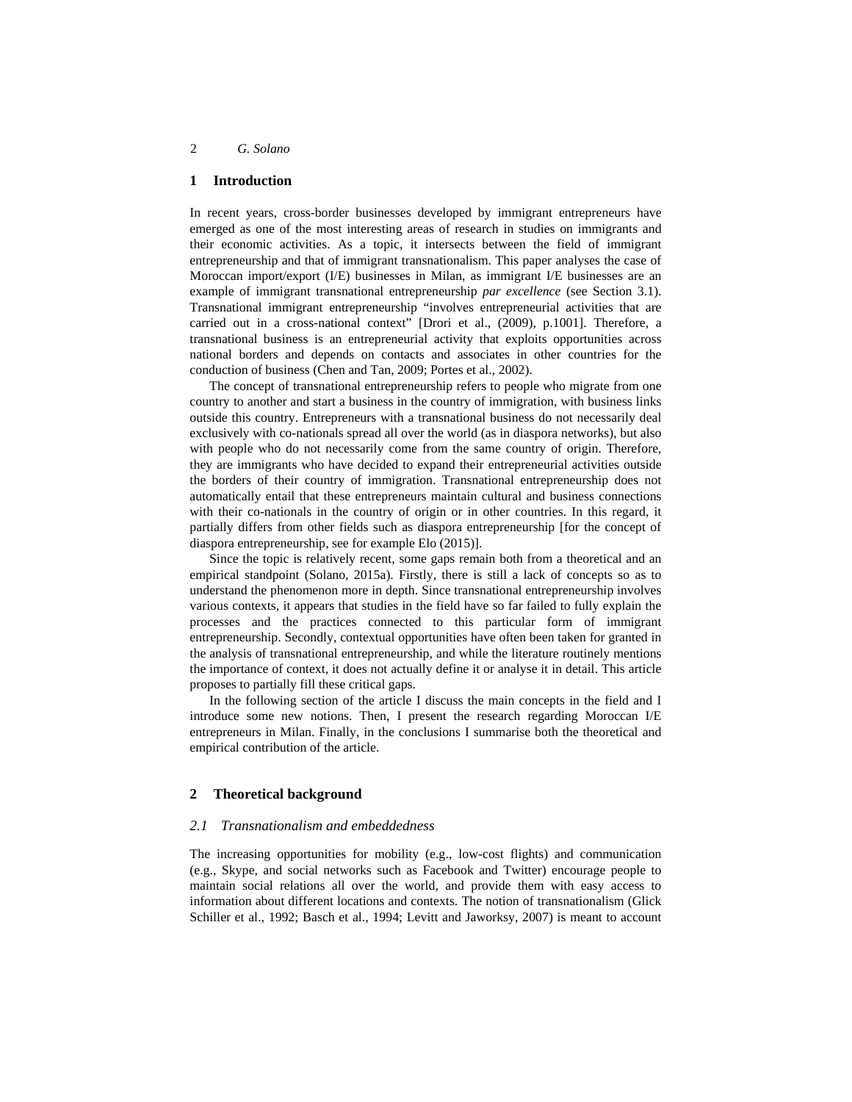### **1 Introduction**

In recent years, cross-border businesses developed by immigrant entrepreneurs have emerged as one of the most interesting areas of research in studies on immigrants and their economic activities. As a topic, it intersects between the field of immigrant entrepreneurship and that of immigrant transnationalism. This paper analyses the case of Moroccan import/export (I/E) businesses in Milan, as immigrant I/E businesses are an example of immigrant transnational entrepreneurship *par excellence* (see Section 3.1). Transnational immigrant entrepreneurship "involves entrepreneurial activities that are carried out in a cross-national context" [Drori et al., (2009), p.1001]. Therefore, a transnational business is an entrepreneurial activity that exploits opportunities across national borders and depends on contacts and associates in other countries for the conduction of business (Chen and Tan, 2009; Portes et al., 2002).

The concept of transnational entrepreneurship refers to people who migrate from one country to another and start a business in the country of immigration, with business links outside this country. Entrepreneurs with a transnational business do not necessarily deal exclusively with co-nationals spread all over the world (as in diaspora networks), but also with people who do not necessarily come from the same country of origin. Therefore, they are immigrants who have decided to expand their entrepreneurial activities outside the borders of their country of immigration. Transnational entrepreneurship does not automatically entail that these entrepreneurs maintain cultural and business connections with their co-nationals in the country of origin or in other countries. In this regard, it partially differs from other fields such as diaspora entrepreneurship [for the concept of diaspora entrepreneurship, see for example Elo (2015)].

Since the topic is relatively recent, some gaps remain both from a theoretical and an empirical standpoint (Solano, 2015a). Firstly, there is still a lack of concepts so as to understand the phenomenon more in depth. Since transnational entrepreneurship involves various contexts, it appears that studies in the field have so far failed to fully explain the processes and the practices connected to this particular form of immigrant entrepreneurship. Secondly, contextual opportunities have often been taken for granted in the analysis of transnational entrepreneurship, and while the literature routinely mentions the importance of context, it does not actually define it or analyse it in detail. This article proposes to partially fill these critical gaps.

In the following section of the article I discuss the main concepts in the field and I introduce some new notions. Then, I present the research regarding Moroccan I/E entrepreneurs in Milan. Finally, in the conclusions I summarise both the theoretical and empirical contribution of the article.

## **2 Theoretical background**

## *2.1 Transnationalism and embeddedness*

The increasing opportunities for mobility (e.g., low-cost flights) and communication (e.g., Skype, and social networks such as Facebook and Twitter) encourage people to maintain social relations all over the world, and provide them with easy access to information about different locations and contexts. The notion of transnationalism (Glick Schiller et al., 1992; Basch et al., 1994; Levitt and Jaworksy, 2007) is meant to account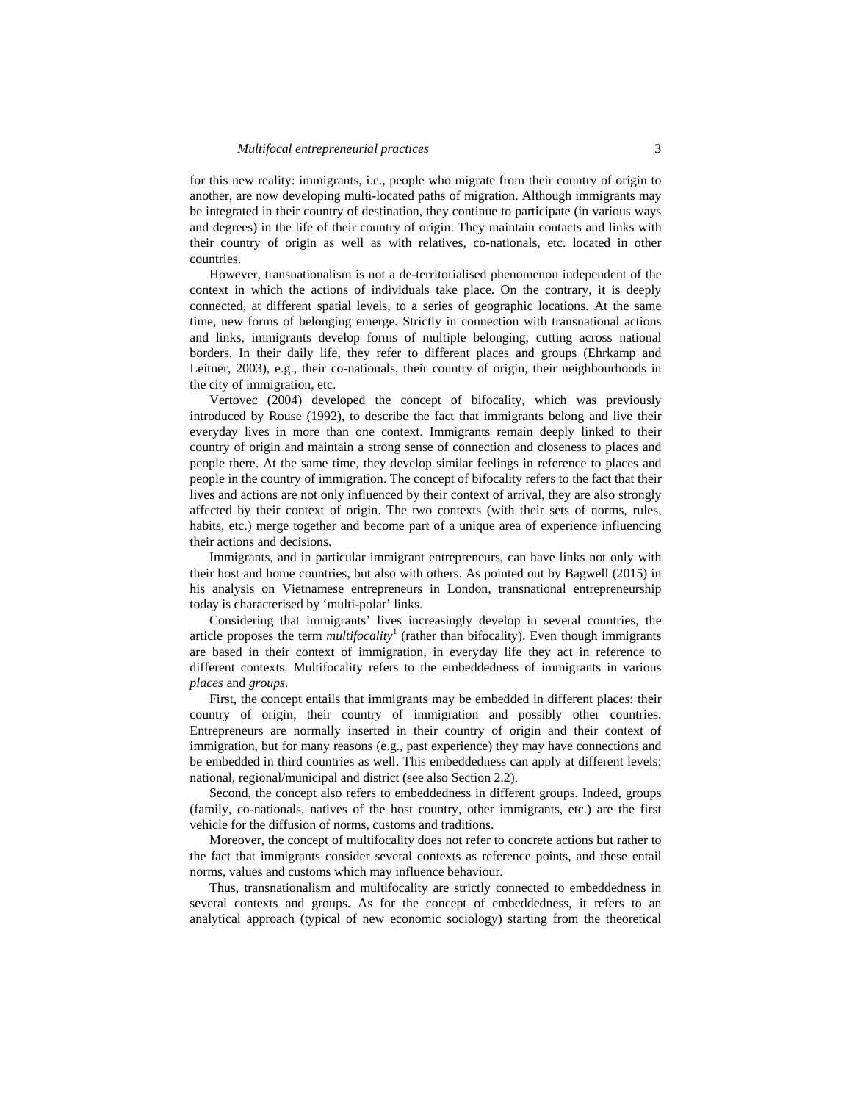for this new reality: immigrants, i.e., people who migrate from their country of origin to another, are now developing multi-located paths of migration. Although immigrants may be integrated in their country of destination, they continue to participate (in various ways and degrees) in the life of their country of origin. They maintain contacts and links with their country of origin as well as with relatives, co-nationals, etc. located in other countries.

However, transnationalism is not a de-territorialised phenomenon independent of the context in which the actions of individuals take place. On the contrary, it is deeply connected, at different spatial levels, to a series of geographic locations. At the same time, new forms of belonging emerge. Strictly in connection with transnational actions and links, immigrants develop forms of multiple belonging, cutting across national borders. In their daily life, they refer to different places and groups (Ehrkamp and Leitner, 2003), e.g., their co-nationals, their country of origin, their neighbourhoods in the city of immigration, etc.

Vertovec (2004) developed the concept of bifocality, which was previously introduced by Rouse (1992), to describe the fact that immigrants belong and live their everyday lives in more than one context. Immigrants remain deeply linked to their country of origin and maintain a strong sense of connection and closeness to places and people there. At the same time, they develop similar feelings in reference to places and people in the country of immigration. The concept of bifocality refers to the fact that their lives and actions are not only influenced by their context of arrival, they are also strongly affected by their context of origin. The two contexts (with their sets of norms, rules, habits, etc.) merge together and become part of a unique area of experience influencing their actions and decisions.

Immigrants, and in particular immigrant entrepreneurs, can have links not only with their host and home countries, but also with others. As pointed out by Bagwell (2015) in his analysis on Vietnamese entrepreneurs in London, transnational entrepreneurship today is characterised by 'multi-polar' links.

Considering that immigrants' lives increasingly develop in several countries, the article proposes the term *multifocality*<sup>1</sup> (rather than bifocality). Even though immigrants are based in their context of immigration, in everyday life they act in reference to different contexts. Multifocality refers to the embeddedness of immigrants in various *places* and *groups.*

First, the concept entails that immigrants may be embedded in different places: their country of origin, their country of immigration and possibly other countries. Entrepreneurs are normally inserted in their country of origin and their context of immigration, but for many reasons (e.g., past experience) they may have connections and be embedded in third countries as well. This embeddedness can apply at different levels: national, regional/municipal and district (see also Section 2.2).

Second, the concept also refers to embeddedness in different groups. Indeed, groups (family, co-nationals, natives of the host country, other immigrants, etc.) are the first vehicle for the diffusion of norms, customs and traditions.

Moreover, the concept of multifocality does not refer to concrete actions but rather to the fact that immigrants consider several contexts as reference points, and these entail norms, values and customs which may influence behaviour.

Thus, transnationalism and multifocality are strictly connected to embeddedness in several contexts and groups. As for the concept of embeddedness, it refers to an analytical approach (typical of new economic sociology) starting from the theoretical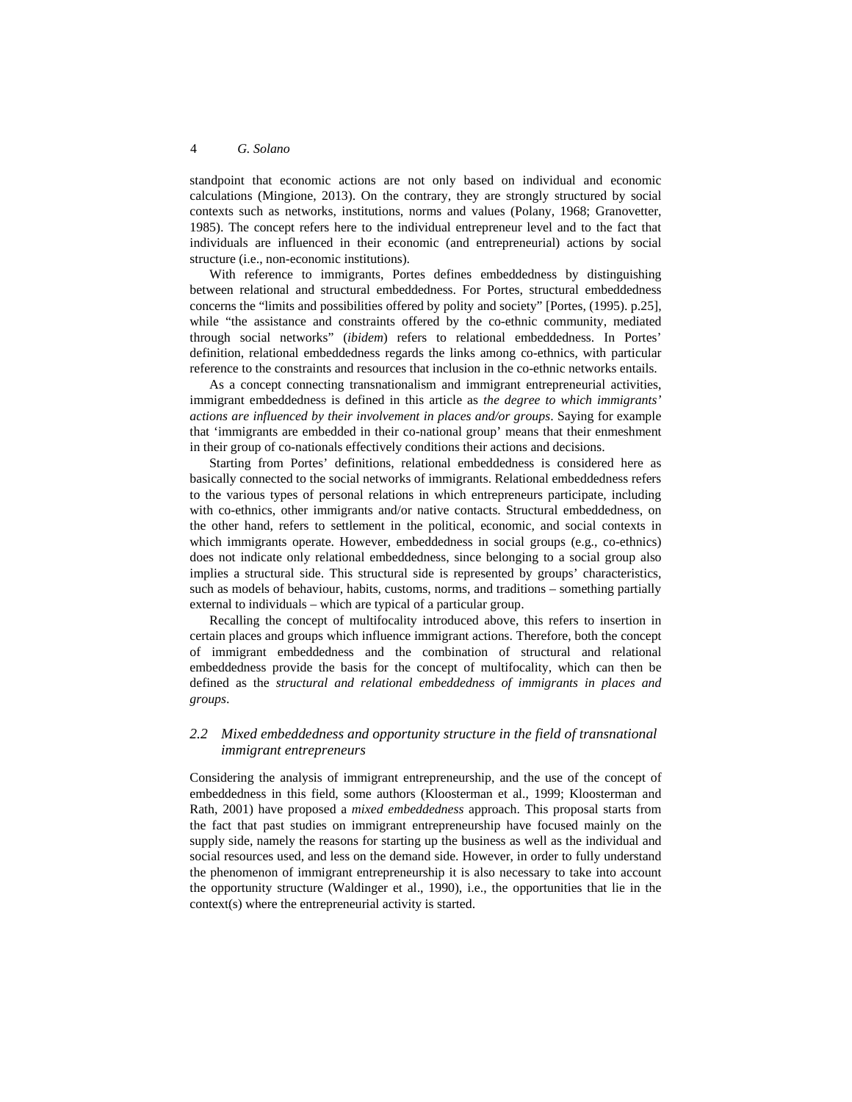standpoint that economic actions are not only based on individual and economic calculations (Mingione, 2013). On the contrary, they are strongly structured by social contexts such as networks, institutions, norms and values (Polany, 1968; Granovetter, 1985). The concept refers here to the individual entrepreneur level and to the fact that individuals are influenced in their economic (and entrepreneurial) actions by social structure (i.e., non-economic institutions).

With reference to immigrants, Portes defines embeddedness by distinguishing between relational and structural embeddedness. For Portes, structural embeddedness concerns the "limits and possibilities offered by polity and society" [Portes, (1995). p.25], while "the assistance and constraints offered by the co-ethnic community, mediated through social networks" (*ibidem*) refers to relational embeddedness. In Portes' definition, relational embeddedness regards the links among co-ethnics, with particular reference to the constraints and resources that inclusion in the co-ethnic networks entails.

As a concept connecting transnationalism and immigrant entrepreneurial activities, immigrant embeddedness is defined in this article as *the degree to which immigrants' actions are influenced by their involvement in places and/or groups*. Saying for example that 'immigrants are embedded in their co-national group' means that their enmeshment in their group of co-nationals effectively conditions their actions and decisions.

Starting from Portes' definitions, relational embeddedness is considered here as basically connected to the social networks of immigrants. Relational embeddedness refers to the various types of personal relations in which entrepreneurs participate, including with co-ethnics, other immigrants and/or native contacts. Structural embeddedness, on the other hand, refers to settlement in the political, economic, and social contexts in which immigrants operate. However, embeddedness in social groups (e.g., co-ethnics) does not indicate only relational embeddedness, since belonging to a social group also implies a structural side. This structural side is represented by groups' characteristics, such as models of behaviour, habits, customs, norms, and traditions – something partially external to individuals – which are typical of a particular group.

Recalling the concept of multifocality introduced above, this refers to insertion in certain places and groups which influence immigrant actions. Therefore, both the concept of immigrant embeddedness and the combination of structural and relational embeddedness provide the basis for the concept of multifocality, which can then be defined as the *structural and relational embeddedness of immigrants in places and groups*.

# *2.2 Mixed embeddedness and opportunity structure in the field of transnational immigrant entrepreneurs*

Considering the analysis of immigrant entrepreneurship, and the use of the concept of embeddedness in this field, some authors (Kloosterman et al., 1999; Kloosterman and Rath, 2001) have proposed a *mixed embeddedness* approach. This proposal starts from the fact that past studies on immigrant entrepreneurship have focused mainly on the supply side, namely the reasons for starting up the business as well as the individual and social resources used, and less on the demand side. However, in order to fully understand the phenomenon of immigrant entrepreneurship it is also necessary to take into account the opportunity structure (Waldinger et al., 1990), i.e., the opportunities that lie in the context(s) where the entrepreneurial activity is started.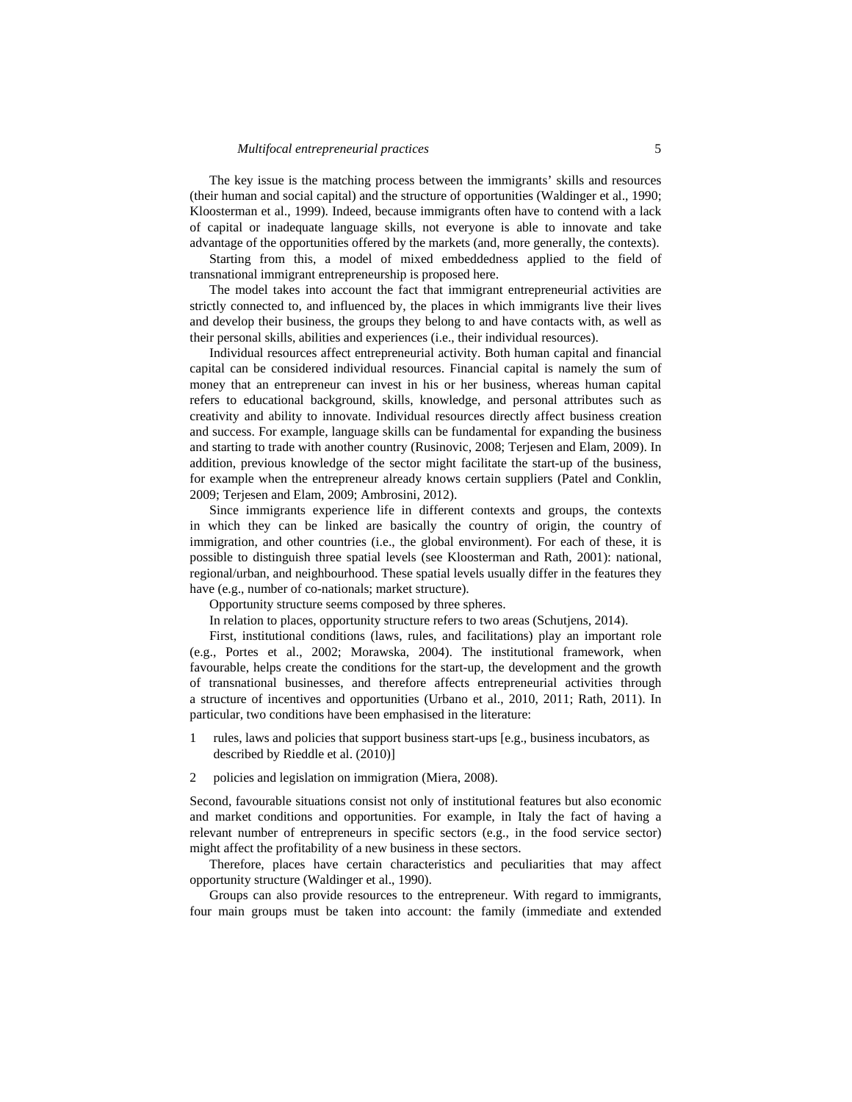#### *Multifocal entrepreneurial practices* 5

The key issue is the matching process between the immigrants' skills and resources (their human and social capital) and the structure of opportunities (Waldinger et al., 1990; Kloosterman et al., 1999). Indeed, because immigrants often have to contend with a lack of capital or inadequate language skills, not everyone is able to innovate and take advantage of the opportunities offered by the markets (and, more generally, the contexts).

Starting from this, a model of mixed embeddedness applied to the field of transnational immigrant entrepreneurship is proposed here.

The model takes into account the fact that immigrant entrepreneurial activities are strictly connected to, and influenced by, the places in which immigrants live their lives and develop their business, the groups they belong to and have contacts with, as well as their personal skills, abilities and experiences (i.e., their individual resources).

Individual resources affect entrepreneurial activity. Both human capital and financial capital can be considered individual resources. Financial capital is namely the sum of money that an entrepreneur can invest in his or her business, whereas human capital refers to educational background, skills, knowledge, and personal attributes such as creativity and ability to innovate. Individual resources directly affect business creation and success. For example, language skills can be fundamental for expanding the business and starting to trade with another country (Rusinovic, 2008; Terjesen and Elam, 2009). In addition, previous knowledge of the sector might facilitate the start-up of the business, for example when the entrepreneur already knows certain suppliers (Patel and Conklin, 2009; Terjesen and Elam, 2009; Ambrosini, 2012).

Since immigrants experience life in different contexts and groups, the contexts in which they can be linked are basically the country of origin, the country of immigration, and other countries (i.e., the global environment). For each of these, it is possible to distinguish three spatial levels (see Kloosterman and Rath, 2001): national, regional/urban, and neighbourhood. These spatial levels usually differ in the features they have (e.g., number of co-nationals; market structure).

Opportunity structure seems composed by three spheres.

In relation to places, opportunity structure refers to two areas (Schutjens, 2014).

First, institutional conditions (laws, rules, and facilitations) play an important role (e.g., Portes et al., 2002; Morawska, 2004). The institutional framework, when favourable, helps create the conditions for the start-up, the development and the growth of transnational businesses, and therefore affects entrepreneurial activities through a structure of incentives and opportunities (Urbano et al., 2010, 2011; Rath, 2011). In particular, two conditions have been emphasised in the literature:

- 1 rules, laws and policies that support business start-ups [e.g., business incubators, as described by Rieddle et al. (2010)]
- 2 policies and legislation on immigration (Miera, 2008).

Second, favourable situations consist not only of institutional features but also economic and market conditions and opportunities. For example, in Italy the fact of having a relevant number of entrepreneurs in specific sectors (e.g., in the food service sector) might affect the profitability of a new business in these sectors.

Therefore, places have certain characteristics and peculiarities that may affect opportunity structure (Waldinger et al., 1990).

Groups can also provide resources to the entrepreneur. With regard to immigrants, four main groups must be taken into account: the family (immediate and extended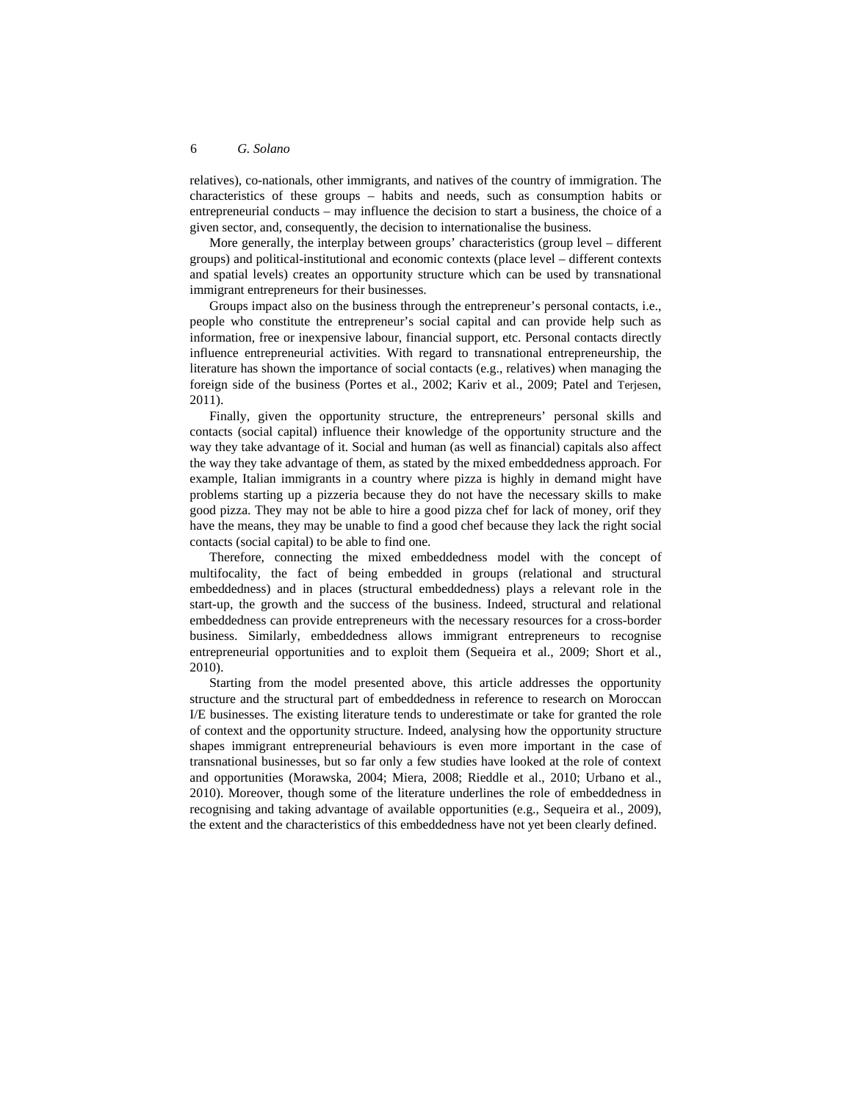relatives), co-nationals, other immigrants, and natives of the country of immigration. The characteristics of these groups – habits and needs, such as consumption habits or entrepreneurial conducts – may influence the decision to start a business, the choice of a given sector, and, consequently, the decision to internationalise the business.

More generally, the interplay between groups' characteristics (group level – different groups) and political-institutional and economic contexts (place level – different contexts and spatial levels) creates an opportunity structure which can be used by transnational immigrant entrepreneurs for their businesses.

Groups impact also on the business through the entrepreneur's personal contacts, i.e., people who constitute the entrepreneur's social capital and can provide help such as information, free or inexpensive labour, financial support, etc. Personal contacts directly influence entrepreneurial activities. With regard to transnational entrepreneurship, the literature has shown the importance of social contacts (e.g., relatives) when managing the foreign side of the business (Portes et al., 2002; Kariv et al., 2009; Patel and Terjesen, 2011).

Finally, given the opportunity structure, the entrepreneurs' personal skills and contacts (social capital) influence their knowledge of the opportunity structure and the way they take advantage of it. Social and human (as well as financial) capitals also affect the way they take advantage of them, as stated by the mixed embeddedness approach. For example, Italian immigrants in a country where pizza is highly in demand might have problems starting up a pizzeria because they do not have the necessary skills to make good pizza. They may not be able to hire a good pizza chef for lack of money, orif they have the means, they may be unable to find a good chef because they lack the right social contacts (social capital) to be able to find one.

Therefore, connecting the mixed embeddedness model with the concept of multifocality, the fact of being embedded in groups (relational and structural embeddedness) and in places (structural embeddedness) plays a relevant role in the start-up, the growth and the success of the business. Indeed, structural and relational embeddedness can provide entrepreneurs with the necessary resources for a cross-border business. Similarly, embeddedness allows immigrant entrepreneurs to recognise entrepreneurial opportunities and to exploit them (Sequeira et al., 2009; Short et al., 2010).

Starting from the model presented above, this article addresses the opportunity structure and the structural part of embeddedness in reference to research on Moroccan I/E businesses. The existing literature tends to underestimate or take for granted the role of context and the opportunity structure. Indeed, analysing how the opportunity structure shapes immigrant entrepreneurial behaviours is even more important in the case of transnational businesses, but so far only a few studies have looked at the role of context and opportunities (Morawska, 2004; Miera, 2008; Rieddle et al., 2010; Urbano et al., 2010). Moreover, though some of the literature underlines the role of embeddedness in recognising and taking advantage of available opportunities (e.g., Sequeira et al., 2009), the extent and the characteristics of this embeddedness have not yet been clearly defined.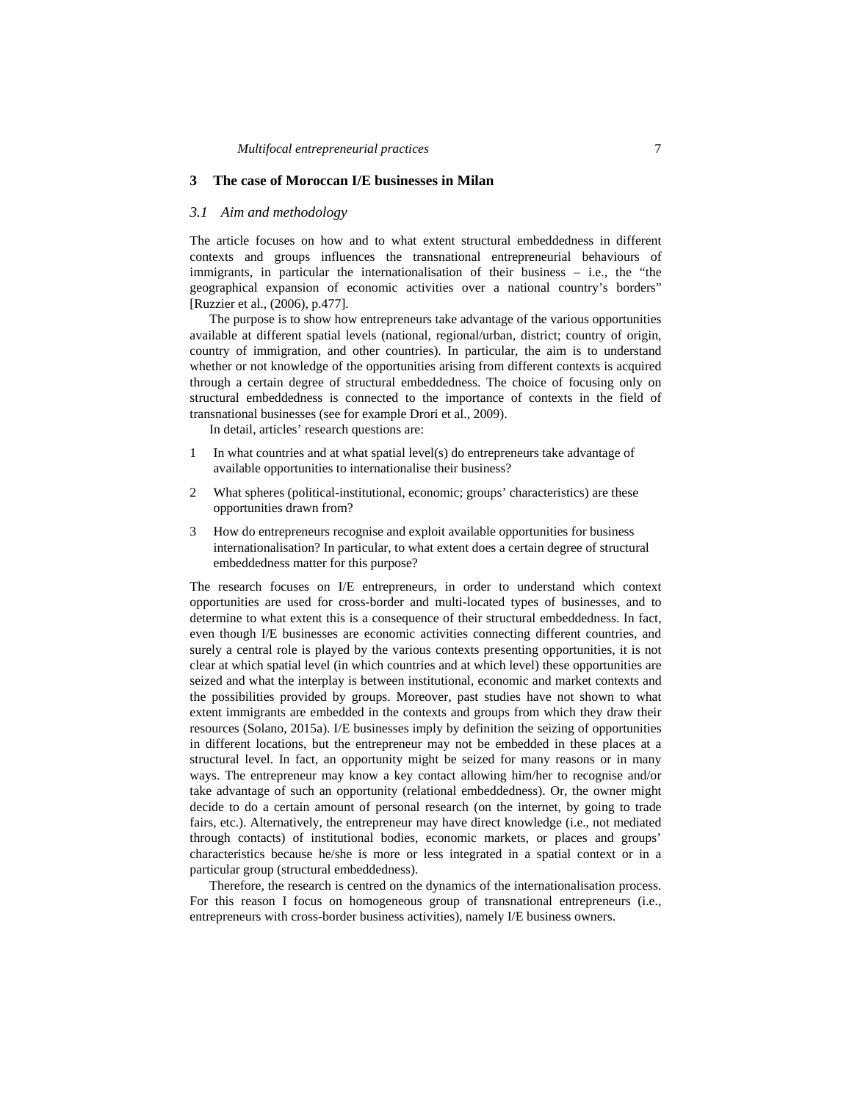#### **3 The case of Moroccan I/E businesses in Milan**

#### *3.1 Aim and methodology*

The article focuses on how and to what extent structural embeddedness in different contexts and groups influences the transnational entrepreneurial behaviours of immigrants, in particular the internationalisation of their business – i.e., the "the geographical expansion of economic activities over a national country's borders" [Ruzzier et al., (2006), p.477].

The purpose is to show how entrepreneurs take advantage of the various opportunities available at different spatial levels (national, regional/urban, district; country of origin, country of immigration, and other countries). In particular, the aim is to understand whether or not knowledge of the opportunities arising from different contexts is acquired through a certain degree of structural embeddedness. The choice of focusing only on structural embeddedness is connected to the importance of contexts in the field of transnational businesses (see for example Drori et al., 2009).

In detail, articles' research questions are:

- 1 In what countries and at what spatial level(s) do entrepreneurs take advantage of available opportunities to internationalise their business?
- 2 What spheres (political-institutional, economic; groups' characteristics) are these opportunities drawn from?
- 3 How do entrepreneurs recognise and exploit available opportunities for business internationalisation? In particular, to what extent does a certain degree of structural embeddedness matter for this purpose?

The research focuses on I/E entrepreneurs, in order to understand which context opportunities are used for cross-border and multi-located types of businesses, and to determine to what extent this is a consequence of their structural embeddedness. In fact, even though I/E businesses are economic activities connecting different countries, and surely a central role is played by the various contexts presenting opportunities, it is not clear at which spatial level (in which countries and at which level) these opportunities are seized and what the interplay is between institutional, economic and market contexts and the possibilities provided by groups. Moreover, past studies have not shown to what extent immigrants are embedded in the contexts and groups from which they draw their resources (Solano, 2015a). I/E businesses imply by definition the seizing of opportunities in different locations, but the entrepreneur may not be embedded in these places at a structural level. In fact, an opportunity might be seized for many reasons or in many ways. The entrepreneur may know a key contact allowing him/her to recognise and/or take advantage of such an opportunity (relational embeddedness). Or, the owner might decide to do a certain amount of personal research (on the internet, by going to trade fairs, etc.). Alternatively, the entrepreneur may have direct knowledge (i.e., not mediated through contacts) of institutional bodies, economic markets, or places and groups' characteristics because he/she is more or less integrated in a spatial context or in a particular group (structural embeddedness).

Therefore, the research is centred on the dynamics of the internationalisation process. For this reason I focus on homogeneous group of transnational entrepreneurs (i.e., entrepreneurs with cross-border business activities), namely I/E business owners.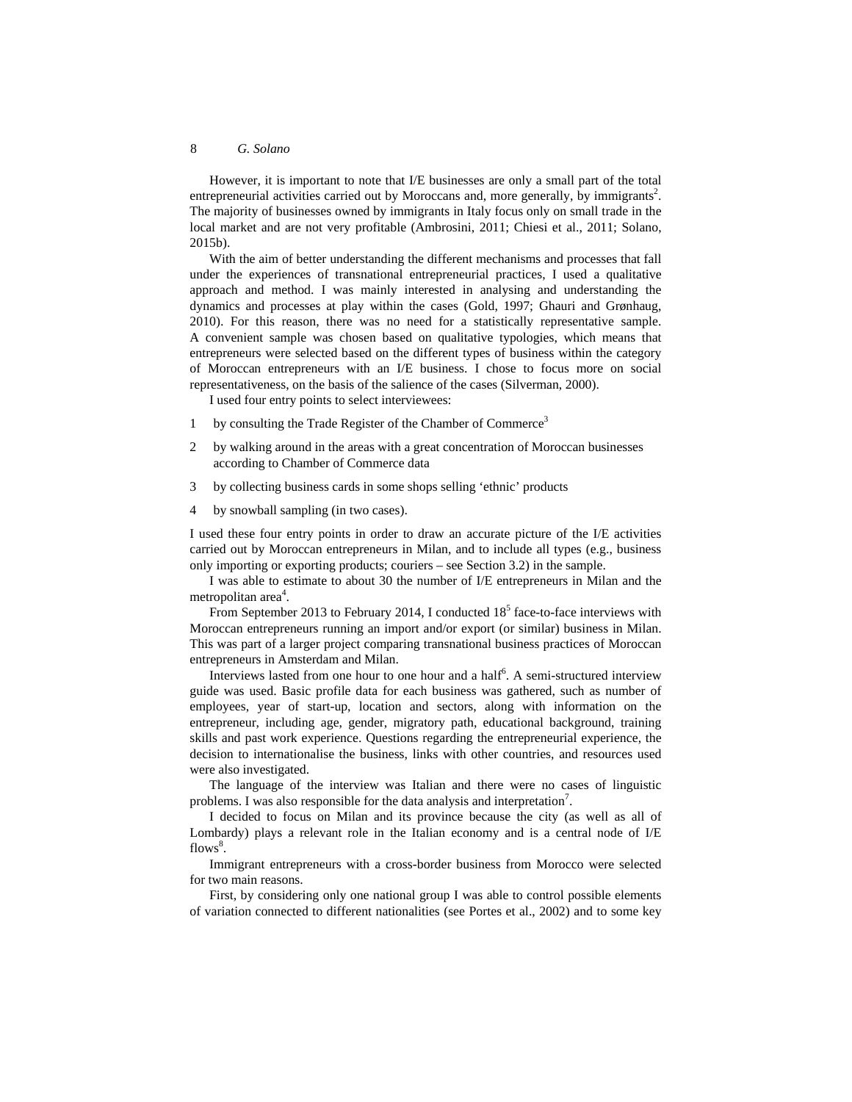However, it is important to note that I/E businesses are only a small part of the total entrepreneurial activities carried out by Moroccans and, more generally, by immigrants<sup>2</sup>. The majority of businesses owned by immigrants in Italy focus only on small trade in the local market and are not very profitable (Ambrosini, 2011; Chiesi et al., 2011; Solano, 2015b).

With the aim of better understanding the different mechanisms and processes that fall under the experiences of transnational entrepreneurial practices, I used a qualitative approach and method. I was mainly interested in analysing and understanding the dynamics and processes at play within the cases (Gold, 1997; Ghauri and Grønhaug, 2010). For this reason, there was no need for a statistically representative sample. A convenient sample was chosen based on qualitative typologies, which means that entrepreneurs were selected based on the different types of business within the category of Moroccan entrepreneurs with an I/E business. I chose to focus more on social representativeness, on the basis of the salience of the cases (Silverman, 2000).

I used four entry points to select interviewees:

- 1 by consulting the Trade Register of the Chamber of Commerce<sup>3</sup>
- 2 by walking around in the areas with a great concentration of Moroccan businesses according to Chamber of Commerce data
- 3 by collecting business cards in some shops selling 'ethnic' products
- 4 by snowball sampling (in two cases).

I used these four entry points in order to draw an accurate picture of the I/E activities carried out by Moroccan entrepreneurs in Milan, and to include all types (e.g., business only importing or exporting products; couriers – see Section 3.2) in the sample.

I was able to estimate to about 30 the number of I/E entrepreneurs in Milan and the metropolitan area<sup>4</sup>.

From September 2013 to February 2014, I conducted  $18<sup>5</sup>$  face-to-face interviews with Moroccan entrepreneurs running an import and/or export (or similar) business in Milan. This was part of a larger project comparing transnational business practices of Moroccan entrepreneurs in Amsterdam and Milan.

Interviews lasted from one hour to one hour and a half<sup>6</sup>. A semi-structured interview guide was used. Basic profile data for each business was gathered, such as number of employees, year of start-up, location and sectors, along with information on the entrepreneur, including age, gender, migratory path, educational background, training skills and past work experience. Questions regarding the entrepreneurial experience, the decision to internationalise the business, links with other countries, and resources used were also investigated.

The language of the interview was Italian and there were no cases of linguistic problems. I was also responsible for the data analysis and interpretation<sup>7</sup>.

I decided to focus on Milan and its province because the city (as well as all of Lombardy) plays a relevant role in the Italian economy and is a central node of I/E flows<sup>8</sup>.

Immigrant entrepreneurs with a cross-border business from Morocco were selected for two main reasons.

First, by considering only one national group I was able to control possible elements of variation connected to different nationalities (see Portes et al., 2002) and to some key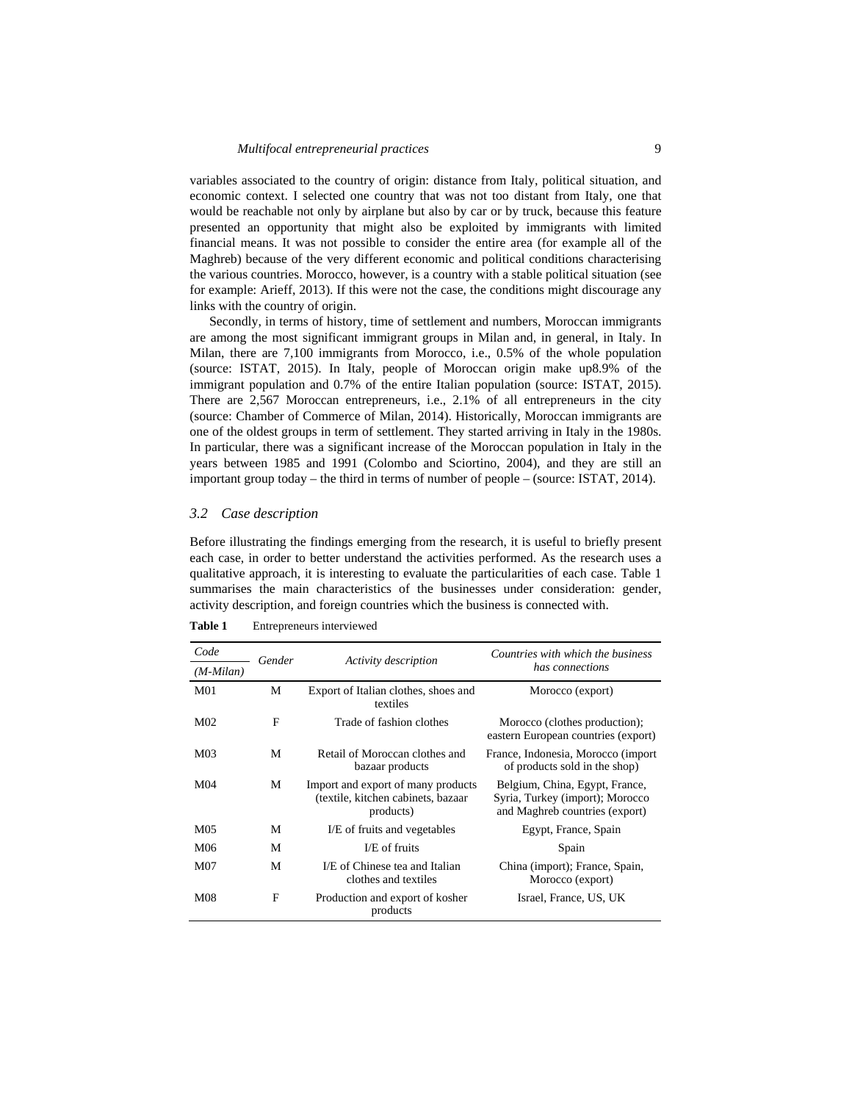variables associated to the country of origin: distance from Italy, political situation, and economic context. I selected one country that was not too distant from Italy, one that would be reachable not only by airplane but also by car or by truck, because this feature presented an opportunity that might also be exploited by immigrants with limited financial means. It was not possible to consider the entire area (for example all of the Maghreb) because of the very different economic and political conditions characterising the various countries. Morocco, however, is a country with a stable political situation (see for example: Arieff, 2013). If this were not the case, the conditions might discourage any links with the country of origin.

Secondly, in terms of history, time of settlement and numbers, Moroccan immigrants are among the most significant immigrant groups in Milan and, in general, in Italy. In Milan, there are 7,100 immigrants from Morocco, i.e., 0.5% of the whole population (source: ISTAT, 2015). In Italy, people of Moroccan origin make up8.9% of the immigrant population and 0.7% of the entire Italian population (source: ISTAT, 2015). There are 2,567 Moroccan entrepreneurs, i.e., 2.1% of all entrepreneurs in the city (source: Chamber of Commerce of Milan, 2014). Historically, Moroccan immigrants are one of the oldest groups in term of settlement. They started arriving in Italy in the 1980s. In particular, there was a significant increase of the Moroccan population in Italy in the years between 1985 and 1991 (Colombo and Sciortino, 2004), and they are still an important group today – the third in terms of number of people – (source: ISTAT, 2014).

#### *3.2 Case description*

Before illustrating the findings emerging from the research, it is useful to briefly present each case, in order to better understand the activities performed. As the research uses a qualitative approach, it is interesting to evaluate the particularities of each case. Table 1 summarises the main characteristics of the businesses under consideration: gender, activity description, and foreign countries which the business is connected with.

| Code               | Gender | Activity description                                                                   | Countries with which the business<br>has connections                                                |
|--------------------|--------|----------------------------------------------------------------------------------------|-----------------------------------------------------------------------------------------------------|
| $(M\text{-}Milan)$ |        |                                                                                        |                                                                                                     |
| M <sub>01</sub>    | М      | Export of Italian clothes, shoes and<br>textiles                                       | Morocco (export)                                                                                    |
| M <sub>02</sub>    | F      | Trade of fashion clothes                                                               | Morocco (clothes production);<br>eastern European countries (export)                                |
| M <sub>03</sub>    | M      | Retail of Moroccan clothes and<br>bazaar products                                      | France, Indonesia, Morocco (import<br>of products sold in the shop)                                 |
| M04                | М      | Import and export of many products<br>(textile, kitchen cabinets, bazaar)<br>products) | Belgium, China, Egypt, France,<br>Syria, Turkey (import); Morocco<br>and Maghreb countries (export) |
| M05                | M      | I/E of fruits and vegetables                                                           | Egypt, France, Spain                                                                                |
| M06                | M      | I/E of fruits                                                                          | Spain                                                                                               |
| M07                | M      | I/E of Chinese tea and Italian<br>clothes and textiles                                 | China (import); France, Spain,<br>Morocco (export)                                                  |
| M08                | F      | Production and export of kosher<br>products                                            | Israel, France, US, UK                                                                              |

**Table 1** Entrepreneurs interviewed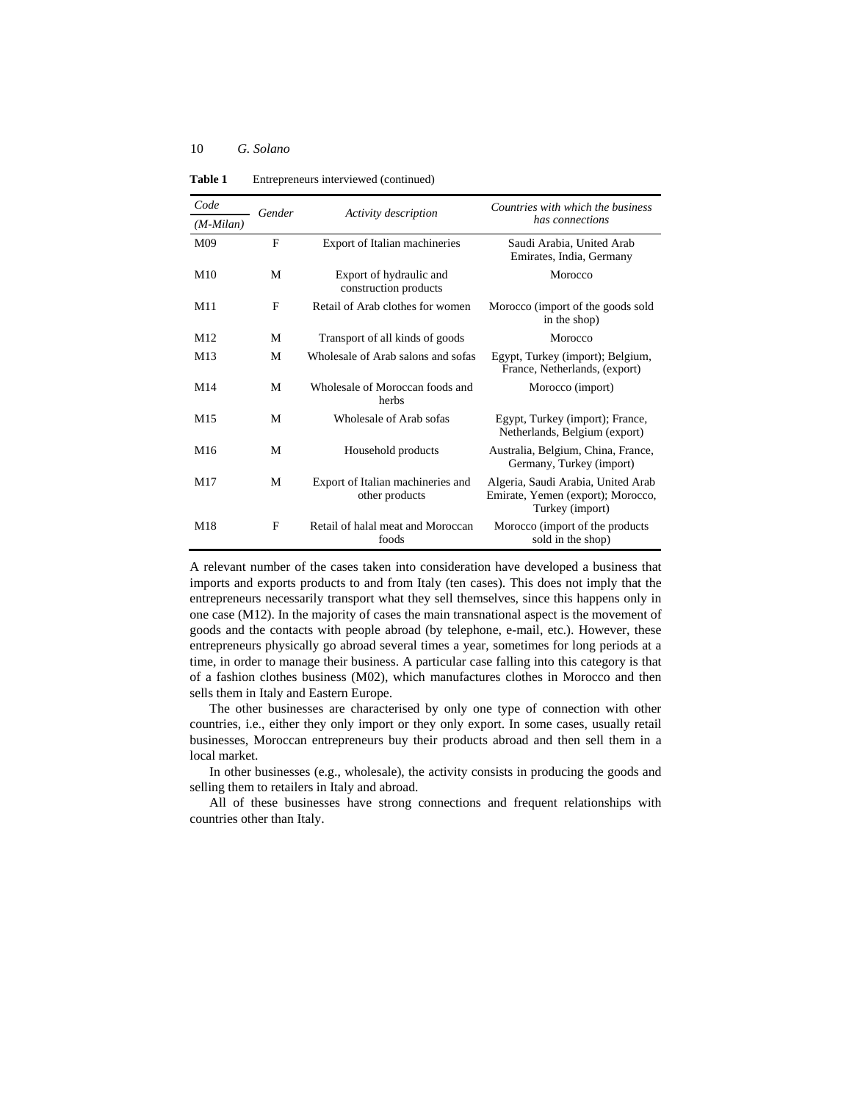**Table 1** Entrepreneurs interviewed (continued)

| Code            | Gender | Activity description                                | Countries with which the business<br>has connections                                       |
|-----------------|--------|-----------------------------------------------------|--------------------------------------------------------------------------------------------|
| $(M-Milan)$     |        |                                                     |                                                                                            |
| M <sub>09</sub> | F      | Export of Italian machineries                       | Saudi Arabia, United Arab<br>Emirates, India, Germany                                      |
| M10             | M      | Export of hydraulic and<br>construction products    | Morocco                                                                                    |
| M11             | F      | Retail of Arab clothes for women                    | Morocco (import of the goods sold<br>in the shop)                                          |
| M <sub>12</sub> | M      | Transport of all kinds of goods                     | Morocco                                                                                    |
| M13             | M      | Wholesale of Arab salons and sofas                  | Egypt, Turkey (import); Belgium,<br>France, Netherlands, (export)                          |
| M <sub>14</sub> | M      | Wholesale of Moroccan foods and<br>herbs            | Morocco (import)                                                                           |
| M <sub>15</sub> | M      | Wholesale of Arab sofas                             | Egypt, Turkey (import); France,<br>Netherlands, Belgium (export)                           |
| M16             | M      | Household products                                  | Australia, Belgium, China, France,<br>Germany, Turkey (import)                             |
| M <sub>17</sub> | M      | Export of Italian machineries and<br>other products | Algeria, Saudi Arabia, United Arab<br>Emirate, Yemen (export); Morocco,<br>Turkey (import) |
| M18             | F      | Retail of halal meat and Moroccan<br>foods          | Morocco (import of the products<br>sold in the shop)                                       |

A relevant number of the cases taken into consideration have developed a business that imports and exports products to and from Italy (ten cases). This does not imply that the entrepreneurs necessarily transport what they sell themselves, since this happens only in one case (M12). In the majority of cases the main transnational aspect is the movement of goods and the contacts with people abroad (by telephone, e-mail, etc.). However, these entrepreneurs physically go abroad several times a year, sometimes for long periods at a time, in order to manage their business. A particular case falling into this category is that of a fashion clothes business (M02), which manufactures clothes in Morocco and then sells them in Italy and Eastern Europe.

The other businesses are characterised by only one type of connection with other countries, i.e., either they only import or they only export. In some cases, usually retail businesses, Moroccan entrepreneurs buy their products abroad and then sell them in a local market.

In other businesses (e.g., wholesale), the activity consists in producing the goods and selling them to retailers in Italy and abroad.

All of these businesses have strong connections and frequent relationships with countries other than Italy.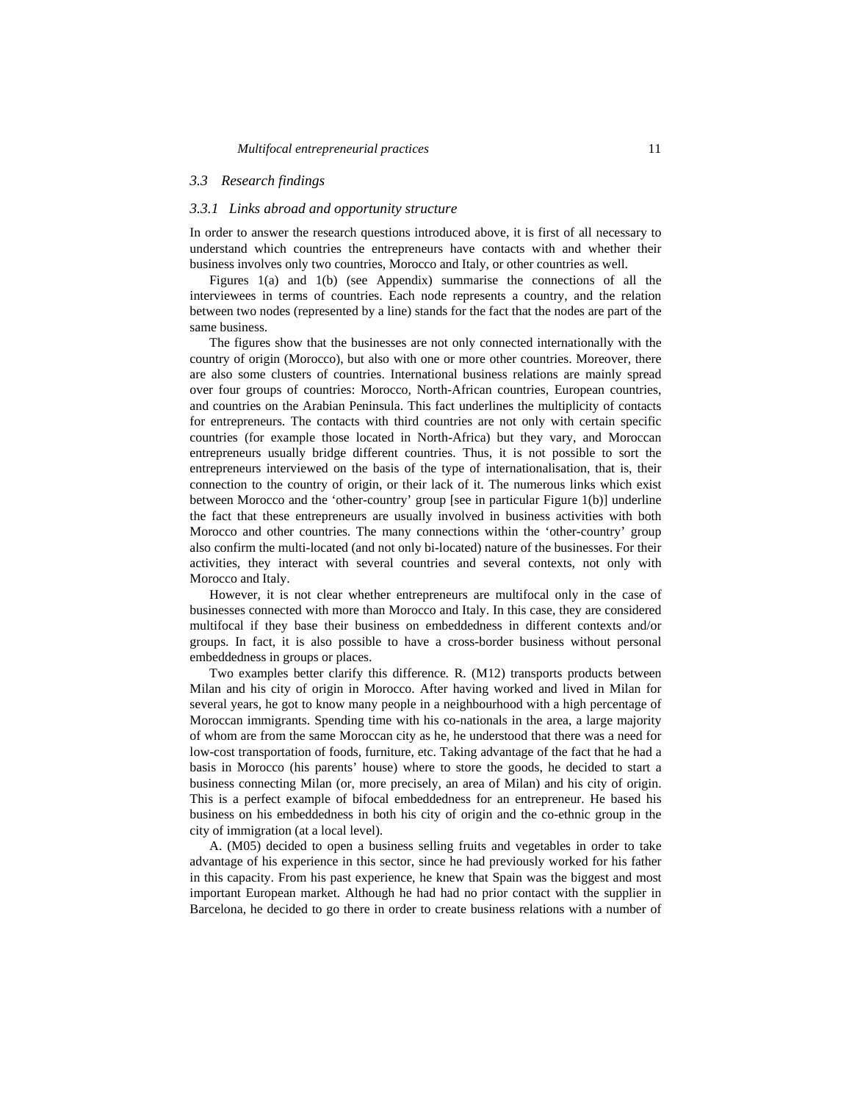## *3.3 Research findings*

#### *3.3.1 Links abroad and opportunity structure*

In order to answer the research questions introduced above, it is first of all necessary to understand which countries the entrepreneurs have contacts with and whether their business involves only two countries, Morocco and Italy, or other countries as well.

Figures 1(a) and 1(b) (see Appendix) summarise the connections of all the interviewees in terms of countries. Each node represents a country, and the relation between two nodes (represented by a line) stands for the fact that the nodes are part of the same business.

The figures show that the businesses are not only connected internationally with the country of origin (Morocco), but also with one or more other countries. Moreover, there are also some clusters of countries. International business relations are mainly spread over four groups of countries: Morocco, North-African countries, European countries, and countries on the Arabian Peninsula. This fact underlines the multiplicity of contacts for entrepreneurs. The contacts with third countries are not only with certain specific countries (for example those located in North-Africa) but they vary, and Moroccan entrepreneurs usually bridge different countries. Thus, it is not possible to sort the entrepreneurs interviewed on the basis of the type of internationalisation, that is, their connection to the country of origin, or their lack of it. The numerous links which exist between Morocco and the 'other-country' group [see in particular Figure 1(b)] underline the fact that these entrepreneurs are usually involved in business activities with both Morocco and other countries. The many connections within the 'other-country' group also confirm the multi-located (and not only bi-located) nature of the businesses. For their activities, they interact with several countries and several contexts, not only with Morocco and Italy.

However, it is not clear whether entrepreneurs are multifocal only in the case of businesses connected with more than Morocco and Italy. In this case, they are considered multifocal if they base their business on embeddedness in different contexts and/or groups. In fact, it is also possible to have a cross-border business without personal embeddedness in groups or places.

Two examples better clarify this difference. R. (M12) transports products between Milan and his city of origin in Morocco. After having worked and lived in Milan for several years, he got to know many people in a neighbourhood with a high percentage of Moroccan immigrants. Spending time with his co-nationals in the area, a large majority of whom are from the same Moroccan city as he, he understood that there was a need for low-cost transportation of foods, furniture, etc. Taking advantage of the fact that he had a basis in Morocco (his parents' house) where to store the goods, he decided to start a business connecting Milan (or, more precisely, an area of Milan) and his city of origin. This is a perfect example of bifocal embeddedness for an entrepreneur. He based his business on his embeddedness in both his city of origin and the co-ethnic group in the city of immigration (at a local level).

A. (M05) decided to open a business selling fruits and vegetables in order to take advantage of his experience in this sector, since he had previously worked for his father in this capacity. From his past experience, he knew that Spain was the biggest and most important European market. Although he had had no prior contact with the supplier in Barcelona, he decided to go there in order to create business relations with a number of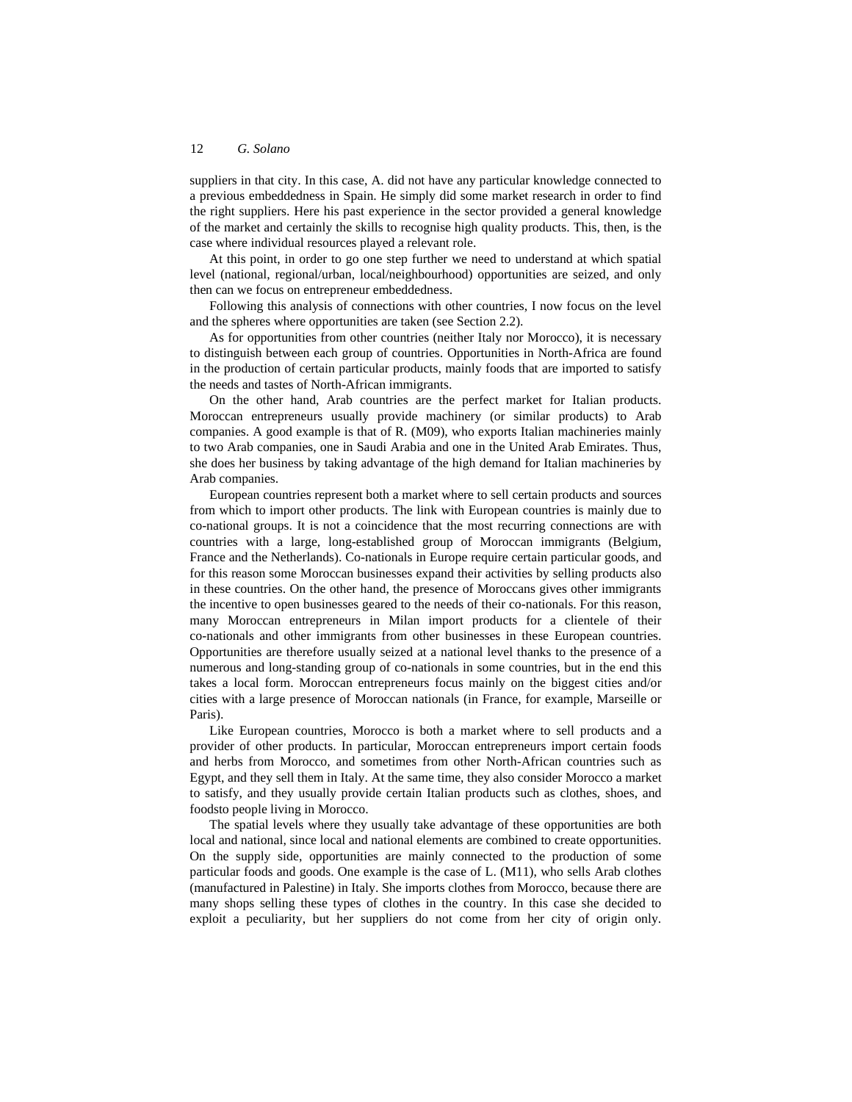suppliers in that city. In this case, A. did not have any particular knowledge connected to a previous embeddedness in Spain. He simply did some market research in order to find the right suppliers. Here his past experience in the sector provided a general knowledge of the market and certainly the skills to recognise high quality products. This, then, is the case where individual resources played a relevant role.

At this point, in order to go one step further we need to understand at which spatial level (national, regional/urban, local/neighbourhood) opportunities are seized, and only then can we focus on entrepreneur embeddedness.

Following this analysis of connections with other countries, I now focus on the level and the spheres where opportunities are taken (see Section 2.2).

As for opportunities from other countries (neither Italy nor Morocco), it is necessary to distinguish between each group of countries. Opportunities in North-Africa are found in the production of certain particular products, mainly foods that are imported to satisfy the needs and tastes of North-African immigrants.

On the other hand, Arab countries are the perfect market for Italian products. Moroccan entrepreneurs usually provide machinery (or similar products) to Arab companies. A good example is that of R. (M09), who exports Italian machineries mainly to two Arab companies, one in Saudi Arabia and one in the United Arab Emirates. Thus, she does her business by taking advantage of the high demand for Italian machineries by Arab companies.

European countries represent both a market where to sell certain products and sources from which to import other products. The link with European countries is mainly due to co-national groups. It is not a coincidence that the most recurring connections are with countries with a large, long-established group of Moroccan immigrants (Belgium, France and the Netherlands). Co-nationals in Europe require certain particular goods, and for this reason some Moroccan businesses expand their activities by selling products also in these countries. On the other hand, the presence of Moroccans gives other immigrants the incentive to open businesses geared to the needs of their co-nationals. For this reason, many Moroccan entrepreneurs in Milan import products for a clientele of their co-nationals and other immigrants from other businesses in these European countries. Opportunities are therefore usually seized at a national level thanks to the presence of a numerous and long-standing group of co-nationals in some countries, but in the end this takes a local form. Moroccan entrepreneurs focus mainly on the biggest cities and/or cities with a large presence of Moroccan nationals (in France, for example, Marseille or Paris).

Like European countries, Morocco is both a market where to sell products and a provider of other products. In particular, Moroccan entrepreneurs import certain foods and herbs from Morocco, and sometimes from other North-African countries such as Egypt, and they sell them in Italy. At the same time, they also consider Morocco a market to satisfy, and they usually provide certain Italian products such as clothes, shoes, and foodsto people living in Morocco.

The spatial levels where they usually take advantage of these opportunities are both local and national, since local and national elements are combined to create opportunities. On the supply side, opportunities are mainly connected to the production of some particular foods and goods. One example is the case of L. (M11), who sells Arab clothes (manufactured in Palestine) in Italy. She imports clothes from Morocco, because there are many shops selling these types of clothes in the country. In this case she decided to exploit a peculiarity, but her suppliers do not come from her city of origin only.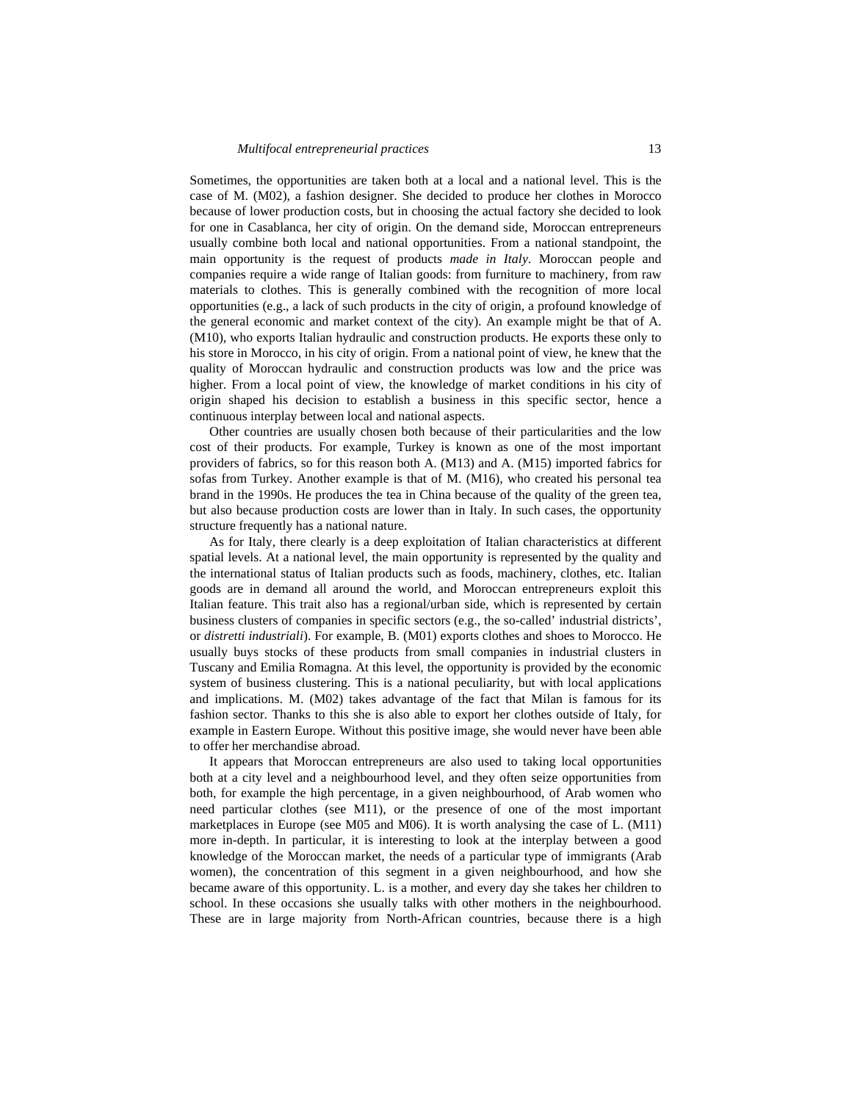Sometimes, the opportunities are taken both at a local and a national level. This is the case of M. (M02), a fashion designer. She decided to produce her clothes in Morocco because of lower production costs, but in choosing the actual factory she decided to look for one in Casablanca, her city of origin. On the demand side, Moroccan entrepreneurs usually combine both local and national opportunities. From a national standpoint, the main opportunity is the request of products *made in Italy*. Moroccan people and companies require a wide range of Italian goods: from furniture to machinery, from raw materials to clothes. This is generally combined with the recognition of more local opportunities (e.g., a lack of such products in the city of origin, a profound knowledge of the general economic and market context of the city). An example might be that of A. (M10), who exports Italian hydraulic and construction products. He exports these only to his store in Morocco, in his city of origin. From a national point of view, he knew that the quality of Moroccan hydraulic and construction products was low and the price was higher. From a local point of view, the knowledge of market conditions in his city of origin shaped his decision to establish a business in this specific sector, hence a continuous interplay between local and national aspects.

Other countries are usually chosen both because of their particularities and the low cost of their products. For example, Turkey is known as one of the most important providers of fabrics, so for this reason both A. (M13) and A. (M15) imported fabrics for sofas from Turkey. Another example is that of M. (M16), who created his personal tea brand in the 1990s. He produces the tea in China because of the quality of the green tea, but also because production costs are lower than in Italy. In such cases, the opportunity structure frequently has a national nature.

As for Italy, there clearly is a deep exploitation of Italian characteristics at different spatial levels. At a national level, the main opportunity is represented by the quality and the international status of Italian products such as foods, machinery, clothes, etc. Italian goods are in demand all around the world, and Moroccan entrepreneurs exploit this Italian feature. This trait also has a regional/urban side, which is represented by certain business clusters of companies in specific sectors (e.g., the so-called' industrial districts', or *distretti industriali*). For example, B. (M01) exports clothes and shoes to Morocco. He usually buys stocks of these products from small companies in industrial clusters in Tuscany and Emilia Romagna. At this level, the opportunity is provided by the economic system of business clustering. This is a national peculiarity, but with local applications and implications. M. (M02) takes advantage of the fact that Milan is famous for its fashion sector. Thanks to this she is also able to export her clothes outside of Italy, for example in Eastern Europe. Without this positive image, she would never have been able to offer her merchandise abroad.

It appears that Moroccan entrepreneurs are also used to taking local opportunities both at a city level and a neighbourhood level, and they often seize opportunities from both, for example the high percentage, in a given neighbourhood, of Arab women who need particular clothes (see M11), or the presence of one of the most important marketplaces in Europe (see M05 and M06). It is worth analysing the case of L. (M11) more in-depth. In particular, it is interesting to look at the interplay between a good knowledge of the Moroccan market, the needs of a particular type of immigrants (Arab women), the concentration of this segment in a given neighbourhood, and how she became aware of this opportunity. L. is a mother, and every day she takes her children to school. In these occasions she usually talks with other mothers in the neighbourhood. These are in large majority from North-African countries, because there is a high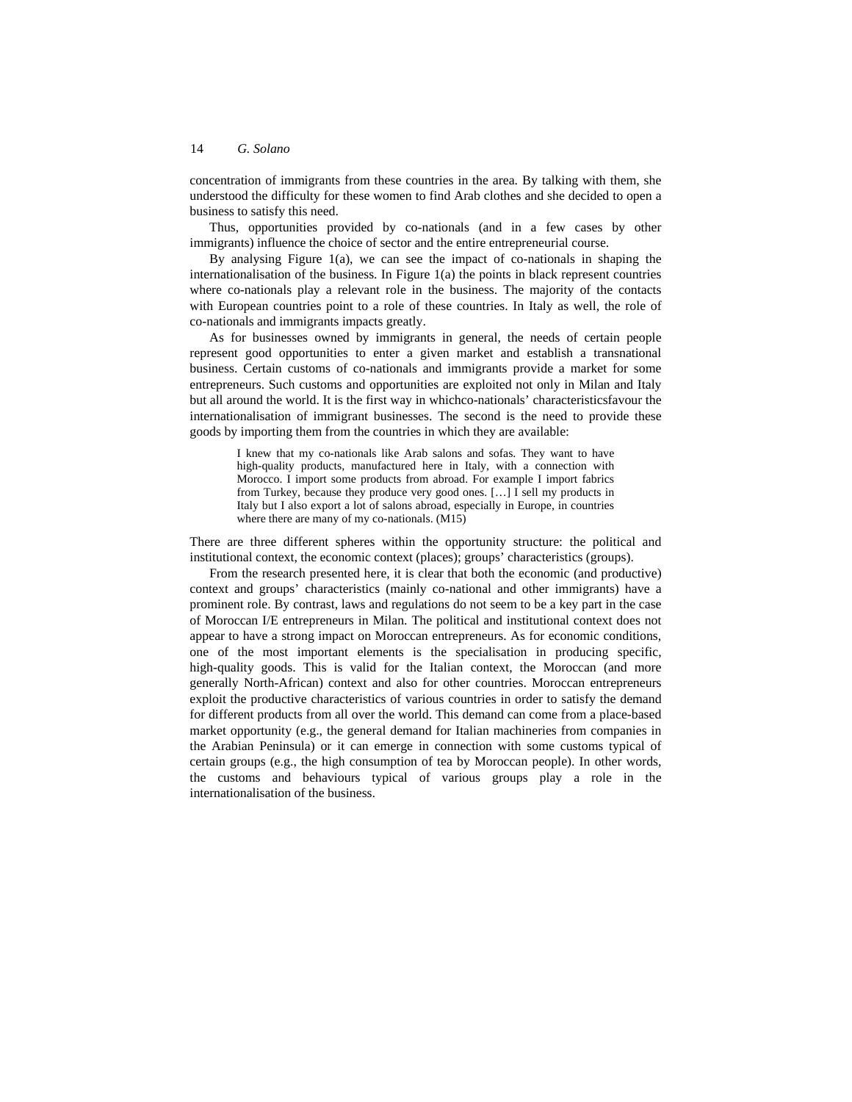concentration of immigrants from these countries in the area. By talking with them, she understood the difficulty for these women to find Arab clothes and she decided to open a business to satisfy this need.

Thus, opportunities provided by co-nationals (and in a few cases by other immigrants) influence the choice of sector and the entire entrepreneurial course.

By analysing Figure 1(a), we can see the impact of co-nationals in shaping the internationalisation of the business. In Figure 1(a) the points in black represent countries where co-nationals play a relevant role in the business. The majority of the contacts with European countries point to a role of these countries. In Italy as well, the role of co-nationals and immigrants impacts greatly.

As for businesses owned by immigrants in general, the needs of certain people represent good opportunities to enter a given market and establish a transnational business. Certain customs of co-nationals and immigrants provide a market for some entrepreneurs. Such customs and opportunities are exploited not only in Milan and Italy but all around the world. It is the first way in whichco-nationals' characteristicsfavour the internationalisation of immigrant businesses. The second is the need to provide these goods by importing them from the countries in which they are available:

I knew that my co-nationals like Arab salons and sofas. They want to have high-quality products, manufactured here in Italy, with a connection with Morocco. I import some products from abroad. For example I import fabrics from Turkey, because they produce very good ones. […] I sell my products in Italy but I also export a lot of salons abroad, especially in Europe, in countries where there are many of my co-nationals. (M15)

There are three different spheres within the opportunity structure: the political and institutional context, the economic context (places); groups' characteristics (groups).

From the research presented here, it is clear that both the economic (and productive) context and groups' characteristics (mainly co-national and other immigrants) have a prominent role. By contrast, laws and regulations do not seem to be a key part in the case of Moroccan I/E entrepreneurs in Milan. The political and institutional context does not appear to have a strong impact on Moroccan entrepreneurs. As for economic conditions, one of the most important elements is the specialisation in producing specific, high-quality goods. This is valid for the Italian context, the Moroccan (and more generally North-African) context and also for other countries. Moroccan entrepreneurs exploit the productive characteristics of various countries in order to satisfy the demand for different products from all over the world. This demand can come from a place-based market opportunity (e.g., the general demand for Italian machineries from companies in the Arabian Peninsula) or it can emerge in connection with some customs typical of certain groups (e.g., the high consumption of tea by Moroccan people). In other words, the customs and behaviours typical of various groups play a role in the internationalisation of the business.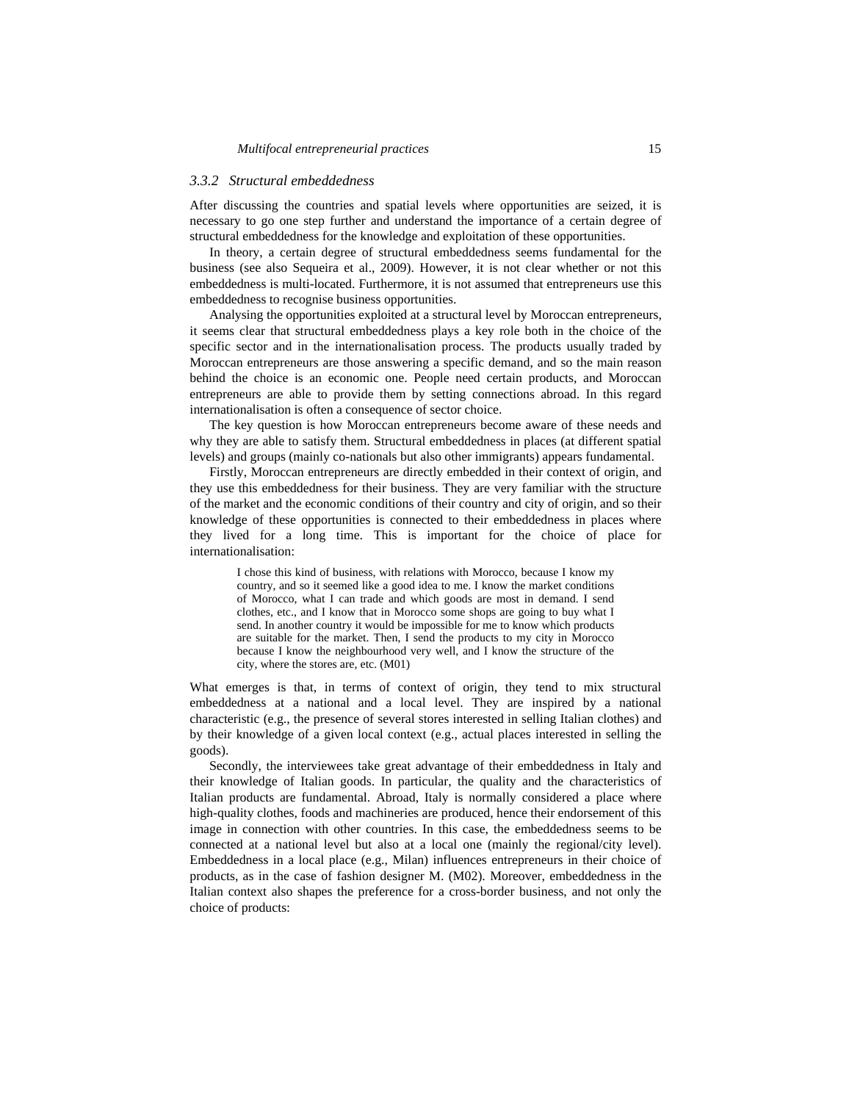## *3.3.2 Structural embeddedness*

After discussing the countries and spatial levels where opportunities are seized, it is necessary to go one step further and understand the importance of a certain degree of structural embeddedness for the knowledge and exploitation of these opportunities.

In theory, a certain degree of structural embeddedness seems fundamental for the business (see also Sequeira et al., 2009). However, it is not clear whether or not this embeddedness is multi-located. Furthermore, it is not assumed that entrepreneurs use this embeddedness to recognise business opportunities.

Analysing the opportunities exploited at a structural level by Moroccan entrepreneurs, it seems clear that structural embeddedness plays a key role both in the choice of the specific sector and in the internationalisation process. The products usually traded by Moroccan entrepreneurs are those answering a specific demand, and so the main reason behind the choice is an economic one. People need certain products, and Moroccan entrepreneurs are able to provide them by setting connections abroad. In this regard internationalisation is often a consequence of sector choice.

The key question is how Moroccan entrepreneurs become aware of these needs and why they are able to satisfy them. Structural embeddedness in places (at different spatial levels) and groups (mainly co-nationals but also other immigrants) appears fundamental.

Firstly, Moroccan entrepreneurs are directly embedded in their context of origin, and they use this embeddedness for their business. They are very familiar with the structure of the market and the economic conditions of their country and city of origin, and so their knowledge of these opportunities is connected to their embeddedness in places where they lived for a long time. This is important for the choice of place for internationalisation:

I chose this kind of business, with relations with Morocco, because I know my country, and so it seemed like a good idea to me. I know the market conditions of Morocco, what I can trade and which goods are most in demand. I send clothes, etc., and I know that in Morocco some shops are going to buy what I send. In another country it would be impossible for me to know which products are suitable for the market. Then, I send the products to my city in Morocco because I know the neighbourhood very well, and I know the structure of the city, where the stores are, etc. (M01)

What emerges is that, in terms of context of origin, they tend to mix structural embeddedness at a national and a local level. They are inspired by a national characteristic (e.g., the presence of several stores interested in selling Italian clothes) and by their knowledge of a given local context (e.g., actual places interested in selling the goods).

Secondly, the interviewees take great advantage of their embeddedness in Italy and their knowledge of Italian goods. In particular, the quality and the characteristics of Italian products are fundamental. Abroad, Italy is normally considered a place where high-quality clothes, foods and machineries are produced, hence their endorsement of this image in connection with other countries. In this case, the embeddedness seems to be connected at a national level but also at a local one (mainly the regional/city level). Embeddedness in a local place (e.g., Milan) influences entrepreneurs in their choice of products, as in the case of fashion designer M. (M02). Moreover, embeddedness in the Italian context also shapes the preference for a cross-border business, and not only the choice of products: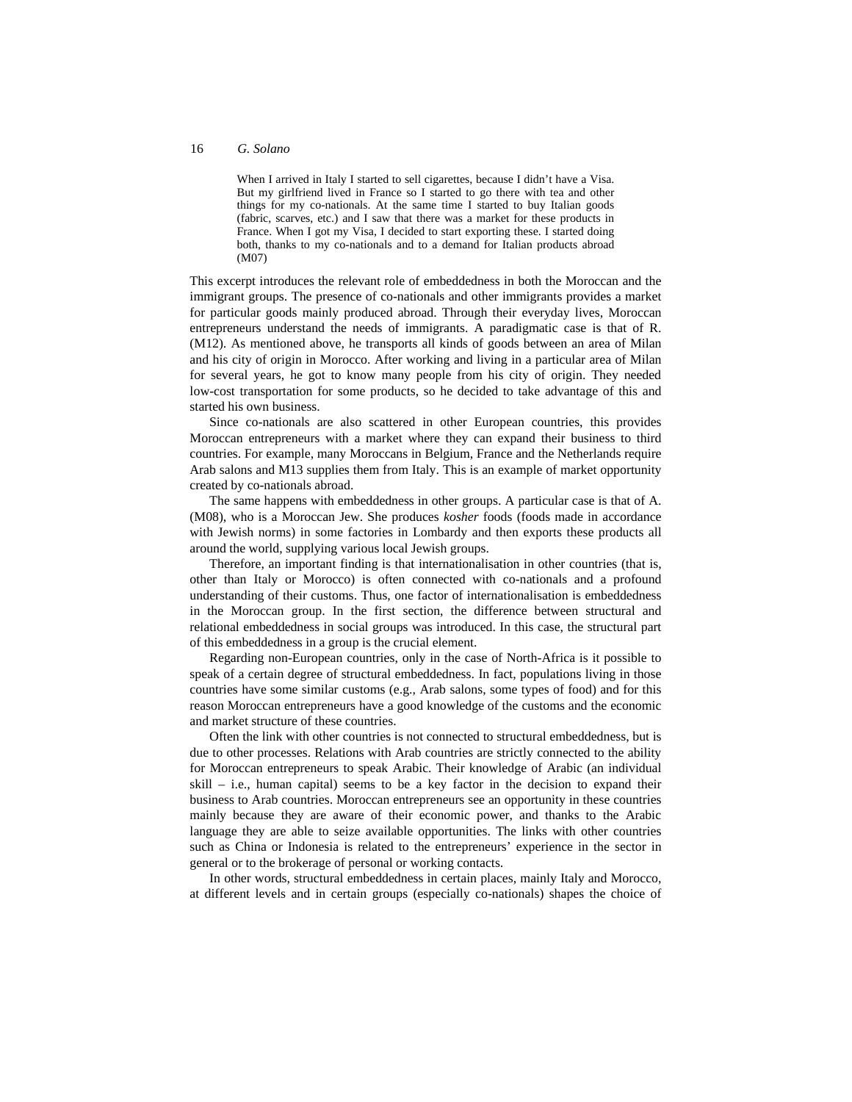When I arrived in Italy I started to sell cigarettes, because I didn't have a Visa. But my girlfriend lived in France so I started to go there with tea and other things for my co-nationals. At the same time I started to buy Italian goods (fabric, scarves, etc.) and I saw that there was a market for these products in France. When I got my Visa, I decided to start exporting these. I started doing both, thanks to my co-nationals and to a demand for Italian products abroad (M07)

This excerpt introduces the relevant role of embeddedness in both the Moroccan and the immigrant groups. The presence of co-nationals and other immigrants provides a market for particular goods mainly produced abroad. Through their everyday lives, Moroccan entrepreneurs understand the needs of immigrants. A paradigmatic case is that of R. (M12). As mentioned above, he transports all kinds of goods between an area of Milan and his city of origin in Morocco. After working and living in a particular area of Milan for several years, he got to know many people from his city of origin. They needed low-cost transportation for some products, so he decided to take advantage of this and started his own business.

Since co-nationals are also scattered in other European countries, this provides Moroccan entrepreneurs with a market where they can expand their business to third countries. For example, many Moroccans in Belgium, France and the Netherlands require Arab salons and M13 supplies them from Italy. This is an example of market opportunity created by co-nationals abroad.

The same happens with embeddedness in other groups. A particular case is that of A. (M08), who is a Moroccan Jew. She produces *kosher* foods (foods made in accordance with Jewish norms) in some factories in Lombardy and then exports these products all around the world, supplying various local Jewish groups.

Therefore, an important finding is that internationalisation in other countries (that is, other than Italy or Morocco) is often connected with co-nationals and a profound understanding of their customs. Thus, one factor of internationalisation is embeddedness in the Moroccan group. In the first section, the difference between structural and relational embeddedness in social groups was introduced. In this case, the structural part of this embeddedness in a group is the crucial element.

Regarding non-European countries, only in the case of North-Africa is it possible to speak of a certain degree of structural embeddedness. In fact, populations living in those countries have some similar customs (e.g., Arab salons, some types of food) and for this reason Moroccan entrepreneurs have a good knowledge of the customs and the economic and market structure of these countries.

Often the link with other countries is not connected to structural embeddedness, but is due to other processes. Relations with Arab countries are strictly connected to the ability for Moroccan entrepreneurs to speak Arabic. Their knowledge of Arabic (an individual skill – i.e., human capital) seems to be a key factor in the decision to expand their business to Arab countries. Moroccan entrepreneurs see an opportunity in these countries mainly because they are aware of their economic power, and thanks to the Arabic language they are able to seize available opportunities. The links with other countries such as China or Indonesia is related to the entrepreneurs' experience in the sector in general or to the brokerage of personal or working contacts.

In other words, structural embeddedness in certain places, mainly Italy and Morocco, at different levels and in certain groups (especially co-nationals) shapes the choice of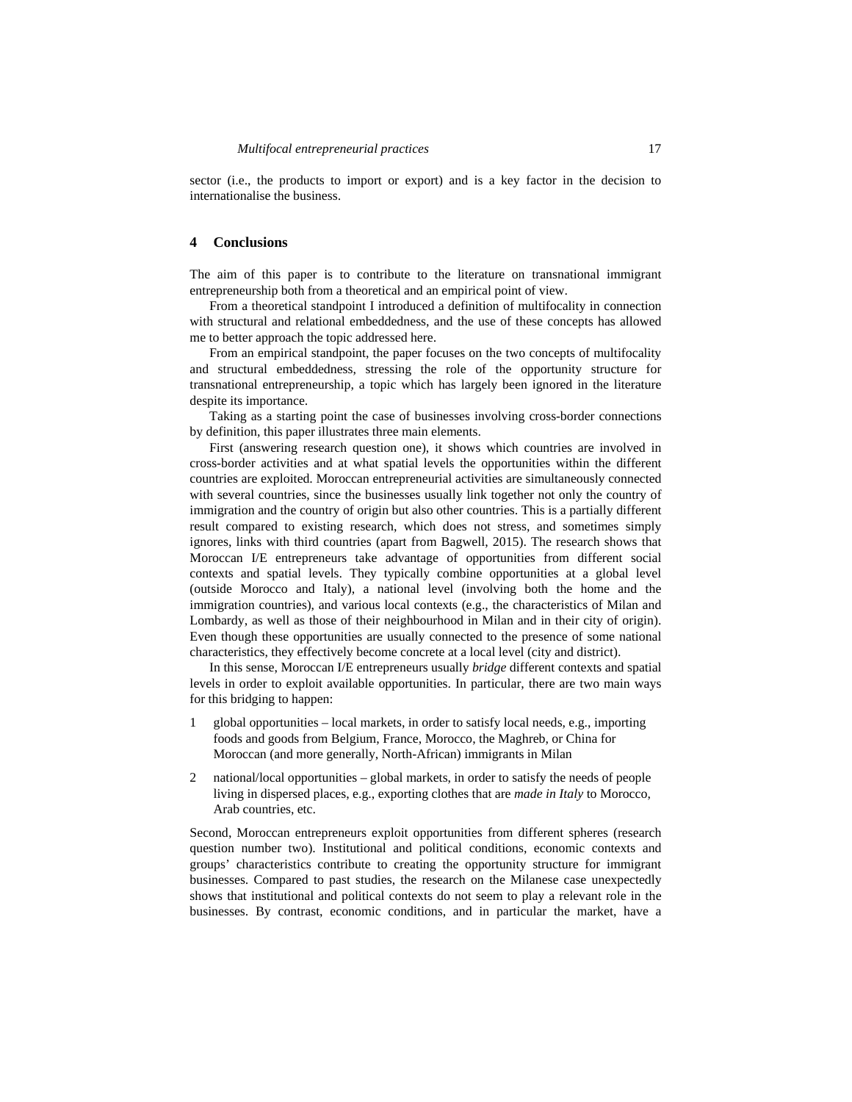sector (i.e., the products to import or export) and is a key factor in the decision to internationalise the business.

## **4 Conclusions**

The aim of this paper is to contribute to the literature on transnational immigrant entrepreneurship both from a theoretical and an empirical point of view.

From a theoretical standpoint I introduced a definition of multifocality in connection with structural and relational embeddedness, and the use of these concepts has allowed me to better approach the topic addressed here.

From an empirical standpoint, the paper focuses on the two concepts of multifocality and structural embeddedness, stressing the role of the opportunity structure for transnational entrepreneurship, a topic which has largely been ignored in the literature despite its importance.

Taking as a starting point the case of businesses involving cross-border connections by definition, this paper illustrates three main elements.

First (answering research question one), it shows which countries are involved in cross-border activities and at what spatial levels the opportunities within the different countries are exploited. Moroccan entrepreneurial activities are simultaneously connected with several countries, since the businesses usually link together not only the country of immigration and the country of origin but also other countries. This is a partially different result compared to existing research, which does not stress, and sometimes simply ignores, links with third countries (apart from Bagwell, 2015). The research shows that Moroccan I/E entrepreneurs take advantage of opportunities from different social contexts and spatial levels. They typically combine opportunities at a global level (outside Morocco and Italy), a national level (involving both the home and the immigration countries), and various local contexts (e.g., the characteristics of Milan and Lombardy, as well as those of their neighbourhood in Milan and in their city of origin). Even though these opportunities are usually connected to the presence of some national characteristics, they effectively become concrete at a local level (city and district).

In this sense, Moroccan I/E entrepreneurs usually *bridge* different contexts and spatial levels in order to exploit available opportunities. In particular, there are two main ways for this bridging to happen:

- 1 global opportunities local markets, in order to satisfy local needs, e.g., importing foods and goods from Belgium, France, Morocco, the Maghreb, or China for Moroccan (and more generally, North-African) immigrants in Milan
- 2 national/local opportunities global markets, in order to satisfy the needs of people living in dispersed places, e.g., exporting clothes that are *made in Italy* to Morocco, Arab countries, etc.

Second, Moroccan entrepreneurs exploit opportunities from different spheres (research question number two). Institutional and political conditions, economic contexts and groups' characteristics contribute to creating the opportunity structure for immigrant businesses. Compared to past studies, the research on the Milanese case unexpectedly shows that institutional and political contexts do not seem to play a relevant role in the businesses. By contrast, economic conditions, and in particular the market, have a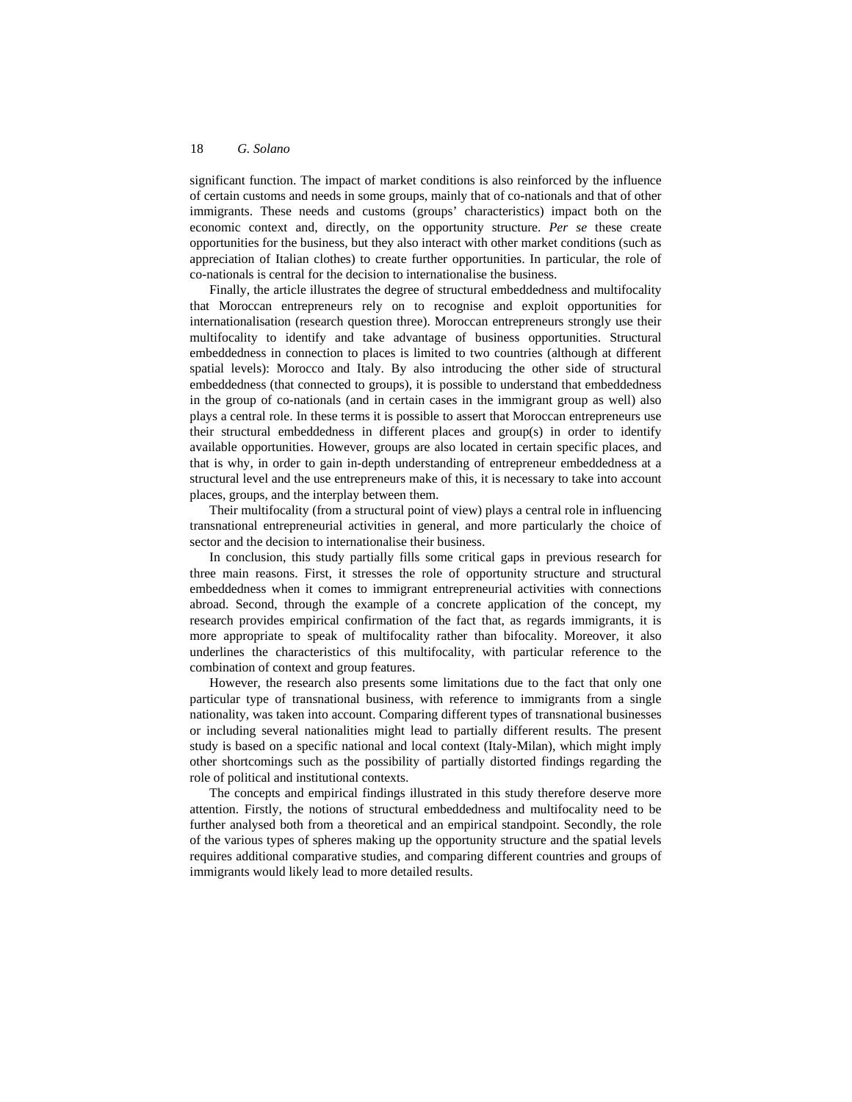significant function. The impact of market conditions is also reinforced by the influence of certain customs and needs in some groups, mainly that of co-nationals and that of other immigrants. These needs and customs (groups' characteristics) impact both on the economic context and, directly, on the opportunity structure. *Per se* these create opportunities for the business, but they also interact with other market conditions (such as appreciation of Italian clothes) to create further opportunities. In particular, the role of co-nationals is central for the decision to internationalise the business.

Finally, the article illustrates the degree of structural embeddedness and multifocality that Moroccan entrepreneurs rely on to recognise and exploit opportunities for internationalisation (research question three). Moroccan entrepreneurs strongly use their multifocality to identify and take advantage of business opportunities. Structural embeddedness in connection to places is limited to two countries (although at different spatial levels): Morocco and Italy. By also introducing the other side of structural embeddedness (that connected to groups), it is possible to understand that embeddedness in the group of co-nationals (and in certain cases in the immigrant group as well) also plays a central role. In these terms it is possible to assert that Moroccan entrepreneurs use their structural embeddedness in different places and group(s) in order to identify available opportunities. However, groups are also located in certain specific places, and that is why, in order to gain in-depth understanding of entrepreneur embeddedness at a structural level and the use entrepreneurs make of this, it is necessary to take into account places, groups, and the interplay between them.

Their multifocality (from a structural point of view) plays a central role in influencing transnational entrepreneurial activities in general, and more particularly the choice of sector and the decision to internationalise their business.

In conclusion, this study partially fills some critical gaps in previous research for three main reasons. First, it stresses the role of opportunity structure and structural embeddedness when it comes to immigrant entrepreneurial activities with connections abroad. Second, through the example of a concrete application of the concept, my research provides empirical confirmation of the fact that, as regards immigrants, it is more appropriate to speak of multifocality rather than bifocality. Moreover, it also underlines the characteristics of this multifocality, with particular reference to the combination of context and group features.

However, the research also presents some limitations due to the fact that only one particular type of transnational business, with reference to immigrants from a single nationality, was taken into account. Comparing different types of transnational businesses or including several nationalities might lead to partially different results. The present study is based on a specific national and local context (Italy-Milan), which might imply other shortcomings such as the possibility of partially distorted findings regarding the role of political and institutional contexts.

The concepts and empirical findings illustrated in this study therefore deserve more attention. Firstly, the notions of structural embeddedness and multifocality need to be further analysed both from a theoretical and an empirical standpoint. Secondly, the role of the various types of spheres making up the opportunity structure and the spatial levels requires additional comparative studies, and comparing different countries and groups of immigrants would likely lead to more detailed results.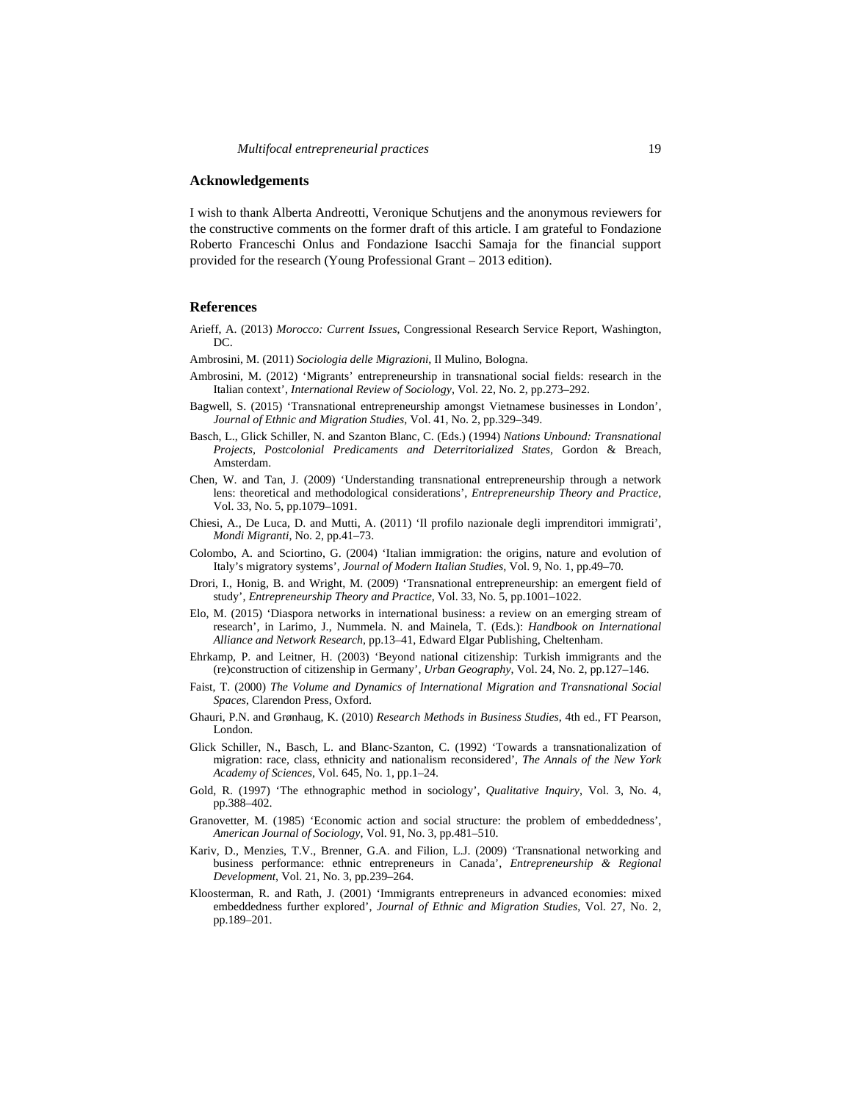### **Acknowledgements**

I wish to thank Alberta Andreotti, Veronique Schutjens and the anonymous reviewers for the constructive comments on the former draft of this article. I am grateful to Fondazione Roberto Franceschi Onlus and Fondazione Isacchi Samaja for the financial support provided for the research (Young Professional Grant – 2013 edition).

#### **References**

- Arieff, A. (2013) *Morocco: Current Issues*, Congressional Research Service Report, Washington, DC.
- Ambrosini, M. (2011) *Sociologia delle Migrazioni*, Il Mulino, Bologna.
- Ambrosini, M. (2012) 'Migrants' entrepreneurship in transnational social fields: research in the Italian context', *International Review of Sociology*, Vol. 22, No. 2, pp.273–292.
- Bagwell, S. (2015) 'Transnational entrepreneurship amongst Vietnamese businesses in London', *Journal of Ethnic and Migration Studies*, Vol. 41, No. 2, pp.329–349.
- Basch, L., Glick Schiller, N. and Szanton Blanc, C. (Eds.) (1994) *Nations Unbound: Transnational Projects, Postcolonial Predicaments and Deterritorialized States*, Gordon & Breach, Amsterdam.
- Chen, W. and Tan, J. (2009) 'Understanding transnational entrepreneurship through a network lens: theoretical and methodological considerations', *Entrepreneurship Theory and Practice*, Vol. 33, No. 5, pp.1079–1091.
- Chiesi, A., De Luca, D. and Mutti, A. (2011) 'Il profilo nazionale degli imprenditori immigrati', *Mondi Migranti*, No. 2, pp.41–73.
- Colombo, A. and Sciortino, G. (2004) 'Italian immigration: the origins, nature and evolution of Italy's migratory systems', *Journal of Modern Italian Studies*, Vol. 9, No. 1, pp.49–70.
- Drori, I., Honig, B. and Wright, M. (2009) 'Transnational entrepreneurship: an emergent field of study', *Entrepreneurship Theory and Practice*, Vol. 33, No. 5, pp.1001–1022.
- Elo, M. (2015) 'Diaspora networks in international business: a review on an emerging stream of research', in Larimo, J., Nummela. N. and Mainela, T. (Eds.): *Handbook on International Alliance and Network Research*, pp.13–41, Edward Elgar Publishing, Cheltenham.
- Ehrkamp, P. and Leitner, H. (2003) 'Beyond national citizenship: Turkish immigrants and the (re)construction of citizenship in Germany', *Urban Geography*, Vol. 24, No. 2, pp.127–146.
- Faist, T. (2000) *The Volume and Dynamics of International Migration and Transnational Social Spaces*, Clarendon Press, Oxford.
- Ghauri, P.N. and Grønhaug, K. (2010) *Research Methods in Business Studies*, 4th ed., FT Pearson, London.
- Glick Schiller, N., Basch, L. and Blanc-Szanton, C. (1992) 'Towards a transnationalization of migration: race, class, ethnicity and nationalism reconsidered', *The Annals of the New York Academy of Sciences*, Vol. 645, No. 1, pp.1–24.
- Gold, R. (1997) 'The ethnographic method in sociology', *Qualitative Inquiry*, Vol. 3, No. 4, pp.388–402.
- Granovetter, M. (1985) 'Economic action and social structure: the problem of embeddedness', *American Journal of Sociology*, Vol. 91, No. 3, pp.481–510.
- Kariv, D., Menzies, T.V., Brenner, G.A. and Filion, L.J. (2009) 'Transnational networking and business performance: ethnic entrepreneurs in Canada', *Entrepreneurship & Regional Development*, Vol. 21, No. 3, pp.239–264.
- Kloosterman, R. and Rath, J. (2001) 'Immigrants entrepreneurs in advanced economies: mixed embeddedness further explored', *Journal of Ethnic and Migration Studies*, Vol. 27, No. 2, pp.189–201.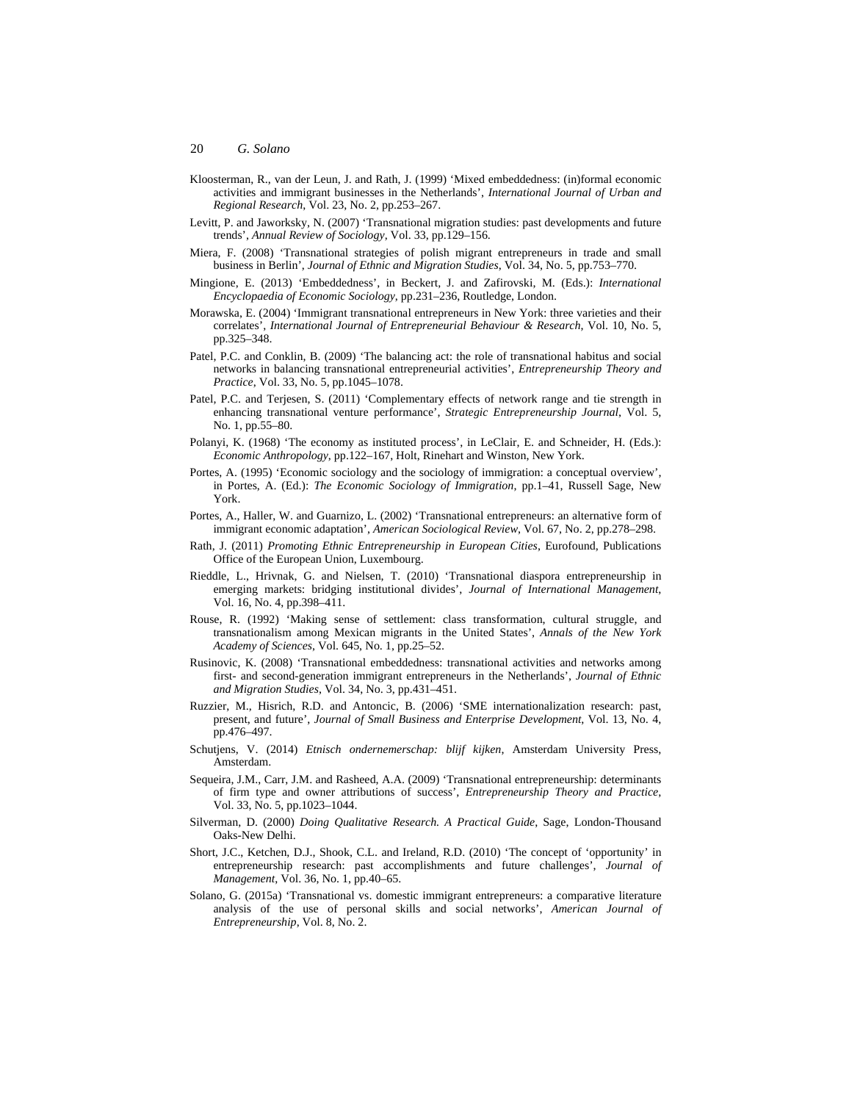- Kloosterman, R., van der Leun, J. and Rath, J. (1999) 'Mixed embeddedness: (in)formal economic activities and immigrant businesses in the Netherlands', *International Journal of Urban and Regional Research*, Vol. 23, No. 2, pp.253–267.
- Levitt, P. and Jaworksky, N. (2007) 'Transnational migration studies: past developments and future trends', *Annual Review of Sociology*, Vol. 33, pp.129–156.
- Miera, F. (2008) 'Transnational strategies of polish migrant entrepreneurs in trade and small business in Berlin', *Journal of Ethnic and Migration Studies*, Vol. 34, No. 5, pp.753–770.
- Mingione, E. (2013) 'Embeddedness', in Beckert, J. and Zafirovski, M. (Eds.): *International Encyclopaedia of Economic Sociology*, pp.231–236, Routledge, London.
- Morawska, E. (2004) 'Immigrant transnational entrepreneurs in New York: three varieties and their correlates', *International Journal of Entrepreneurial Behaviour & Research*, Vol. 10, No. 5, pp.325–348.
- Patel, P.C. and Conklin, B. (2009) 'The balancing act: the role of transnational habitus and social networks in balancing transnational entrepreneurial activities', *Entrepreneurship Theory and Practice*, Vol. 33, No. 5, pp.1045–1078.
- Patel, P.C. and Terjesen, S. (2011) 'Complementary effects of network range and tie strength in enhancing transnational venture performance', *Strategic Entrepreneurship Journal*, Vol. 5, No. 1, pp.55–80.
- Polanyi, K. (1968) 'The economy as instituted process', in LeClair, E. and Schneider, H. (Eds.): *Economic Anthropology*, pp.122–167, Holt, Rinehart and Winston, New York.
- Portes, A. (1995) 'Economic sociology and the sociology of immigration: a conceptual overview', in Portes, A. (Ed.): *The Economic Sociology of Immigration*, pp.1–41, Russell Sage, New York.
- Portes, A., Haller, W. and Guarnizo, L. (2002) 'Transnational entrepreneurs: an alternative form of immigrant economic adaptation', *American Sociological Review*, Vol. 67, No. 2, pp.278–298.
- Rath, J. (2011) *Promoting Ethnic Entrepreneurship in European Cities*, Eurofound, Publications Office of the European Union, Luxembourg.
- Rieddle, L., Hrivnak, G. and Nielsen, T. (2010) 'Transnational diaspora entrepreneurship in emerging markets: bridging institutional divides', *Journal of International Management*, Vol. 16, No. 4, pp.398–411.
- Rouse, R. (1992) 'Making sense of settlement: class transformation, cultural struggle, and transnationalism among Mexican migrants in the United States', *Annals of the New York Academy of Sciences*, Vol. 645, No. 1, pp.25–52.
- Rusinovic, K. (2008) 'Transnational embeddedness: transnational activities and networks among first- and second-generation immigrant entrepreneurs in the Netherlands', *Journal of Ethnic and Migration Studies*, Vol. 34, No. 3, pp.431–451.
- Ruzzier, M., Hisrich, R.D. and Antoncic, B. (2006) 'SME internationalization research: past, present, and future', *Journal of Small Business and Enterprise Development*, Vol. 13, No. 4, pp.476–497.
- Schutjens, V. (2014) *Etnisch ondernemerschap: blijf kijken*, Amsterdam University Press, Amsterdam.
- Sequeira, J.M., Carr, J.M. and Rasheed, A.A. (2009) 'Transnational entrepreneurship: determinants of firm type and owner attributions of success', *Entrepreneurship Theory and Practice*, Vol. 33, No. 5, pp.1023–1044.
- Silverman, D. (2000) *Doing Qualitative Research. A Practical Guide*, Sage, London-Thousand Oaks-New Delhi.
- Short, J.C., Ketchen, D.J., Shook, C.L. and Ireland, R.D. (2010) 'The concept of 'opportunity' in entrepreneurship research: past accomplishments and future challenges', *Journal of Management*, Vol. 36, No. 1, pp.40–65.
- Solano, G. (2015a) 'Transnational vs. domestic immigrant entrepreneurs: a comparative literature analysis of the use of personal skills and social networks', *American Journal of Entrepreneurship*, Vol. 8, No. 2.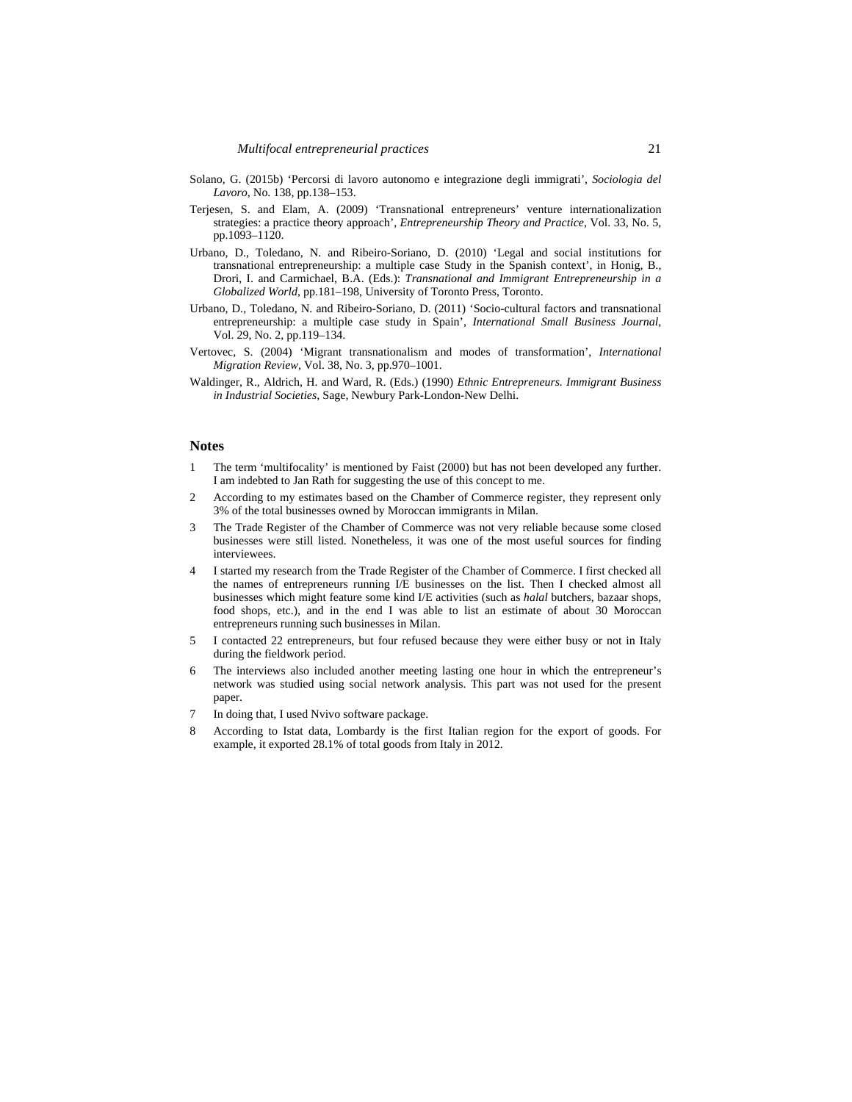- Solano, G. (2015b) 'Percorsi di lavoro autonomo e integrazione degli immigrati', *Sociologia del Lavoro*, No. 138, pp.138–153.
- Terjesen, S. and Elam, A. (2009) 'Transnational entrepreneurs' venture internationalization strategies: a practice theory approach', *Entrepreneurship Theory and Practice*, Vol. 33, No. 5, pp.1093–1120.
- Urbano, D., Toledano, N. and Ribeiro-Soriano, D. (2010) 'Legal and social institutions for transnational entrepreneurship: a multiple case Study in the Spanish context', in Honig, B., Drori, I. and Carmichael, B.A. (Eds.): *Transnational and Immigrant Entrepreneurship in a Globalized World*, pp.181–198, University of Toronto Press, Toronto.
- Urbano, D., Toledano, N. and Ribeiro-Soriano, D. (2011) 'Socio-cultural factors and transnational entrepreneurship: a multiple case study in Spain', *International Small Business Journal*, Vol. 29, No. 2, pp.119–134.
- Vertovec, S. (2004) 'Migrant transnationalism and modes of transformation', *International Migration Review*, Vol. 38, No. 3, pp.970–1001.
- Waldinger, R., Aldrich, H. and Ward, R. (Eds.) (1990) *Ethnic Entrepreneurs. Immigrant Business in Industrial Societies*, Sage, Newbury Park-London-New Delhi.

#### **Notes**

- 1 The term 'multifocality' is mentioned by Faist (2000) but has not been developed any further. I am indebted to Jan Rath for suggesting the use of this concept to me.
- 2 According to my estimates based on the Chamber of Commerce register, they represent only 3% of the total businesses owned by Moroccan immigrants in Milan.
- 3 The Trade Register of the Chamber of Commerce was not very reliable because some closed businesses were still listed. Nonetheless, it was one of the most useful sources for finding interviewees.
- 4 I started my research from the Trade Register of the Chamber of Commerce. I first checked all the names of entrepreneurs running I/E businesses on the list. Then I checked almost all businesses which might feature some kind I/E activities (such as *halal* butchers, bazaar shops, food shops, etc.), and in the end I was able to list an estimate of about 30 Moroccan entrepreneurs running such businesses in Milan.
- 5 I contacted 22 entrepreneurs, but four refused because they were either busy or not in Italy during the fieldwork period.
- 6 The interviews also included another meeting lasting one hour in which the entrepreneur's network was studied using social network analysis. This part was not used for the present paper.
- 7 In doing that, I used Nvivo software package.
- 8 According to Istat data, Lombardy is the first Italian region for the export of goods. For example, it exported 28.1% of total goods from Italy in 2012.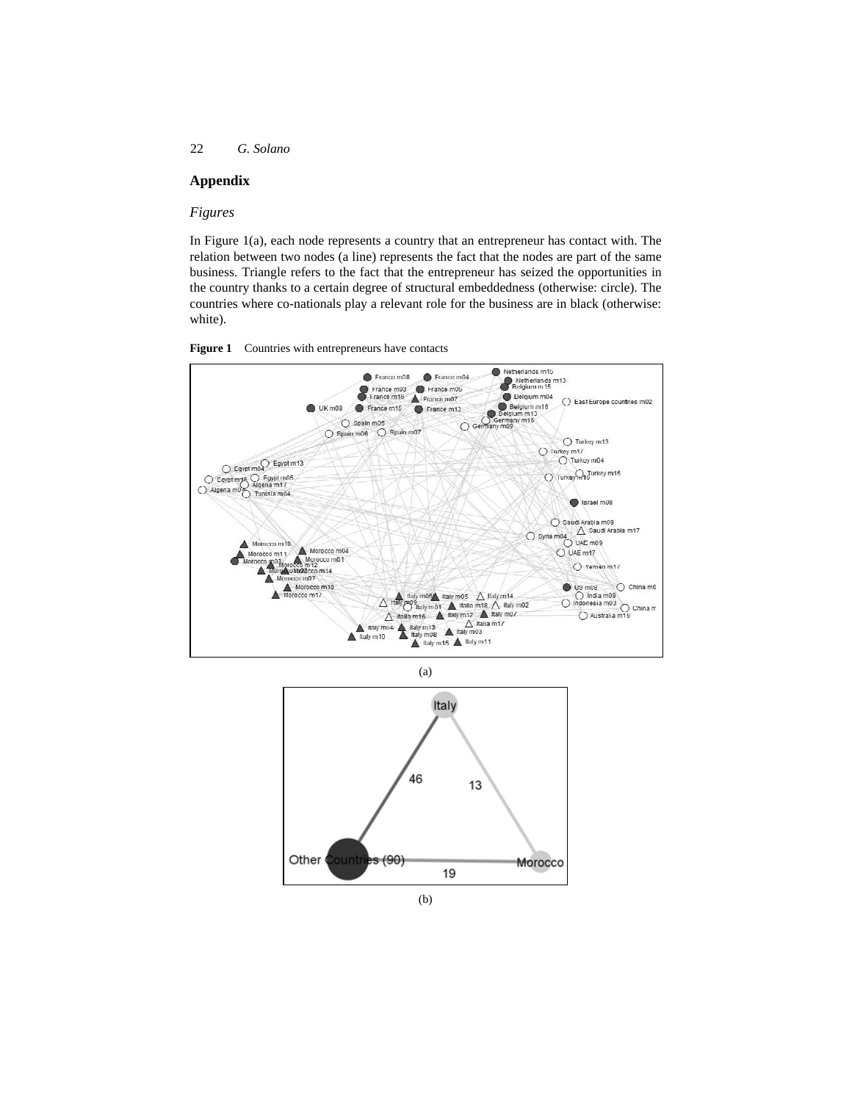# **Appendix**

## *Figures*

In Figure 1(a), each node represents a country that an entrepreneur has contact with. The relation between two nodes (a line) represents the fact that the nodes are part of the same business. Triangle refers to the fact that the entrepreneur has seized the opportunities in the country thanks to a certain degree of structural embeddedness (otherwise: circle). The countries where co-nationals play a relevant role for the business are in black (otherwise: white).





(a)